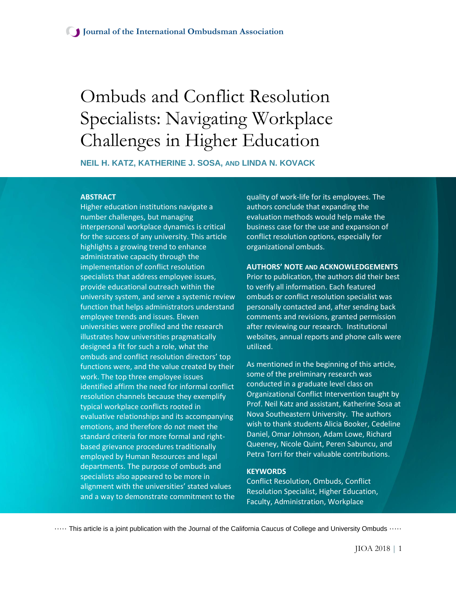# Ombuds and Conflict Resolution Specialists: Navigating Workplace Challenges in Higher Education

**NEIL H. KATZ, KATHERINE J. SOSA, AND LINDA N. KOVACK**

## **ABSTRACT**

Higher education institutions navigate a number challenges, but managing interpersonal workplace dynamics is critical for the success of any university. This article highlights a growing trend to enhance administrative capacity through the implementation of conflict resolution specialists that address employee issues, provide educational outreach within the university system, and serve a systemic review function that helps administrators understand employee trends and issues. Eleven universities were profiled and the research illustrates how universities pragmatically designed a fit for such a role, what the ombuds and conflict resolution directors' top functions were, and the value created by their work. The top three employee issues identified affirm the need for informal conflict resolution channels because they exemplify typical workplace conflicts rooted in evaluative relationships and its accompanying emotions, and therefore do not meet the standard criteria for more formal and rightbased grievance procedures traditionally employed by Human Resources and legal departments. The purpose of ombuds and specialists also appeared to be more in alignment with the universities' stated values and a way to demonstrate commitment to the

quality of work-life for its employees. The authors conclude that expanding the evaluation methods would help make the business case for the use and expansion of conflict resolution options, especially for organizational ombuds.

#### **AUTHORS' NOTE AND ACKNOWLEDGEMENTS**

Prior to publication, the authors did their best to verify all information. Each featured ombuds or conflict resolution specialist was personally contacted and, after sending back comments and revisions, granted permission after reviewing our research. Institutional websites, annual reports and phone calls were utilized.

As mentioned in the beginning of this article, some of the preliminary research was conducted in a graduate level class on Organizational Conflict Intervention taught by Prof. Neil Katz and assistant, Katherine Sosa at Nova Southeastern University. The authors wish to thank students Alicia Booker, Cedeline Daniel, Omar Johnson, Adam Lowe, Richard Queeney, Nicole Quint, Peren Sabuncu, and Petra Torri for their valuable contributions.

#### **KEYWORDS**

Conflict Resolution, Ombuds, Conflict Resolution Specialist, Higher Education, Faculty, Administration, Workplace

····· This article is a joint publication with the Journal of the California Caucus of College and University Ombuds ·····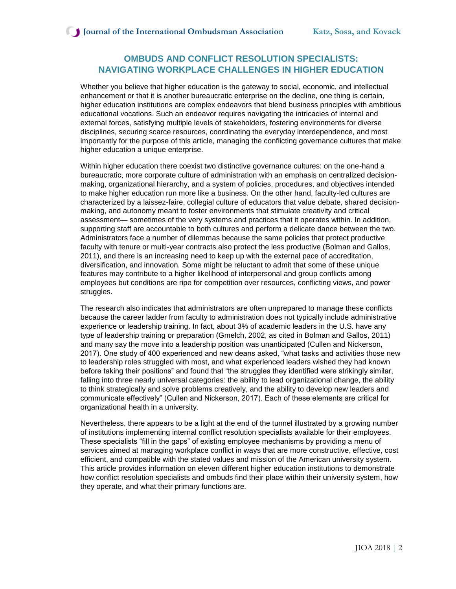# **OMBUDS AND CONFLICT RESOLUTION SPECIALISTS: NAVIGATING WORKPLACE CHALLENGES IN HIGHER EDUCATION**

Whether you believe that higher education is the gateway to social, economic, and intellectual enhancement or that it is another bureaucratic enterprise on the decline, one thing is certain, higher education institutions are complex endeavors that blend business principles with ambitious educational vocations. Such an endeavor requires navigating the intricacies of internal and external forces, satisfying multiple levels of stakeholders, fostering environments for diverse disciplines, securing scarce resources, coordinating the everyday interdependence, and most importantly for the purpose of this article, managing the conflicting governance cultures that make higher education a unique enterprise.

Within higher education there coexist two distinctive governance cultures: on the one-hand a bureaucratic, more corporate culture of administration with an emphasis on centralized decisionmaking, organizational hierarchy, and a system of policies, procedures, and objectives intended to make higher education run more like a business. On the other hand, faculty-led cultures are characterized by a laissez-faire, collegial culture of educators that value debate, shared decisionmaking, and autonomy meant to foster environments that stimulate creativity and critical assessment— sometimes of the very systems and practices that it operates within. In addition, supporting staff are accountable to both cultures and perform a delicate dance between the two. Administrators face a number of dilemmas because the same policies that protect productive faculty with tenure or multi-year contracts also protect the less productive (Bolman and Gallos, 2011), and there is an increasing need to keep up with the external pace of accreditation, diversification, and innovation. Some might be reluctant to admit that some of these unique features may contribute to a higher likelihood of interpersonal and group conflicts among employees but conditions are ripe for competition over resources, conflicting views, and power struggles.

The research also indicates that administrators are often unprepared to manage these conflicts because the career ladder from faculty to administration does not typically include administrative experience or leadership training. In fact, about 3% of academic leaders in the U.S. have any type of leadership training or preparation (Gmelch, 2002, as cited in Bolman and Gallos, 2011) and many say the move into a leadership position was unanticipated (Cullen and Nickerson, 2017). One study of 400 experienced and new deans asked, "what tasks and activities those new to leadership roles struggled with most, and what experienced leaders wished they had known before taking their positions" and found that "the struggles they identified were strikingly similar, falling into three nearly universal categories: the ability to lead organizational change, the ability to think strategically and solve problems creatively, and the ability to develop new leaders and communicate effectively" (Cullen and Nickerson, 2017). Each of these elements are critical for organizational health in a university.

Nevertheless, there appears to be a light at the end of the tunnel illustrated by a growing number of institutions implementing internal conflict resolution specialists available for their employees. These specialists "fill in the gaps" of existing employee mechanisms by providing a menu of services aimed at managing workplace conflict in ways that are more constructive, effective, cost efficient, and compatible with the stated values and mission of the American university system. This article provides information on eleven different higher education institutions to demonstrate how conflict resolution specialists and ombuds find their place within their university system, how they operate, and what their primary functions are.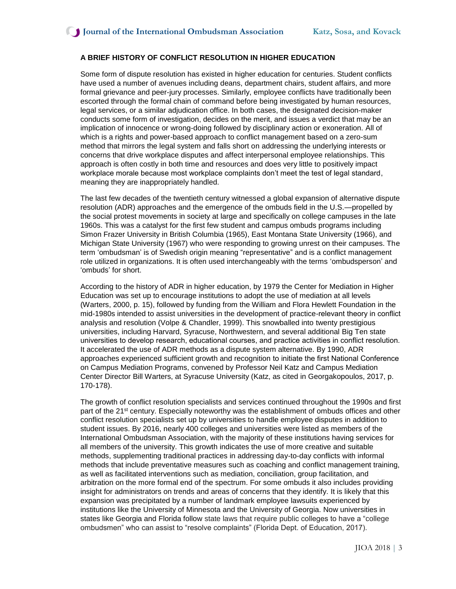## **A BRIEF HISTORY OF CONFLICT RESOLUTION IN HIGHER EDUCATION**

Some form of dispute resolution has existed in higher education for centuries. Student conflicts have used a number of avenues including deans, department chairs, student affairs, and more formal grievance and peer-jury processes. Similarly, employee conflicts have traditionally been escorted through the formal chain of command before being investigated by human resources, legal services, or a similar adjudication office. In both cases, the designated decision-maker conducts some form of investigation, decides on the merit, and issues a verdict that may be an implication of innocence or wrong-doing followed by disciplinary action or exoneration. All of which is a rights and power-based approach to conflict management based on a zero-sum method that mirrors the legal system and falls short on addressing the underlying interests or concerns that drive workplace disputes and affect interpersonal employee relationships. This approach is often costly in both time and resources and does very little to positively impact workplace morale because most workplace complaints don't meet the test of legal standard, meaning they are inappropriately handled.

The last few decades of the twentieth century witnessed a global expansion of alternative dispute resolution (ADR) approaches and the emergence of the ombuds field in the U.S.—propelled by the social protest movements in society at large and specifically on college campuses in the late 1960s. This was a catalyst for the first few student and campus ombuds programs including Simon Frazer University in British Columbia (1965), East Montana State University (1966), and Michigan State University (1967) who were responding to growing unrest on their campuses. The term 'ombudsman' is of Swedish origin meaning "representative" and is a conflict management role utilized in organizations. It is often used interchangeably with the terms 'ombudsperson' and 'ombuds' for short.

According to the history of ADR in higher education, by 1979 the Center for Mediation in Higher Education was set up to encourage institutions to adopt the use of mediation at all levels (Warters, 2000, p. 15), followed by funding from the William and Flora Hewlett Foundation in the mid-1980s intended to assist universities in the development of practice-relevant theory in conflict analysis and resolution (Volpe & Chandler, 1999). This snowballed into twenty prestigious universities, including Harvard, Syracuse, Northwestern, and several additional Big Ten state universities to develop research, educational courses, and practice activities in conflict resolution. It accelerated the use of ADR methods as a dispute system alternative. By 1990, ADR approaches experienced sufficient growth and recognition to initiate the first National Conference on Campus Mediation Programs, convened by Professor Neil Katz and Campus Mediation Center Director Bill Warters, at Syracuse University (Katz, as cited in Georgakopoulos, 2017, p. 170-178).

The growth of conflict resolution specialists and services continued throughout the 1990s and first part of the 21<sup>st</sup> century. Especially noteworthy was the establishment of ombuds offices and other conflict resolution specialists set up by universities to handle employee disputes in addition to student issues. By 2016, nearly 400 colleges and universities were listed as members of the International Ombudsman Association, with the majority of these institutions having services for all members of the university. This growth indicates the use of more creative and suitable methods, supplementing traditional practices in addressing day-to-day conflicts with informal methods that include preventative measures such as coaching and conflict management training, as well as facilitated interventions such as mediation, conciliation, group facilitation, and arbitration on the more formal end of the spectrum. For some ombuds it also includes providing insight for administrators on trends and areas of concerns that they identify. It is likely that this expansion was precipitated by a number of landmark employee lawsuits experienced by institutions like the University of Minnesota and the University of Georgia. Now universities in states like Georgia and Florida follow state laws that require public colleges to have a "college ombudsmen" who can assist to "resolve complaints" (Florida Dept. of Education, 2017).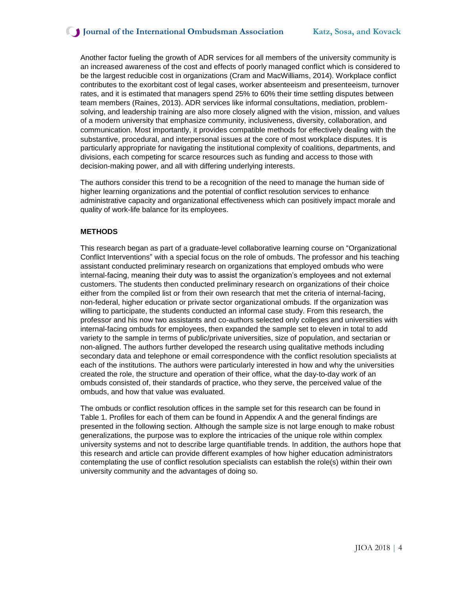Another factor fueling the growth of ADR services for all members of the university community is an increased awareness of the cost and effects of poorly managed conflict which is considered to be the largest reducible cost in organizations (Cram and MacWilliams, 2014). Workplace conflict contributes to the exorbitant cost of legal cases, worker absenteeism and presenteeism, turnover rates, and it is estimated that managers spend 25% to 60% their time settling disputes between team members (Raines, 2013). ADR services like informal consultations, mediation, problemsolving, and leadership training are also more closely aligned with the vision, mission, and values of a modern university that emphasize community, inclusiveness, diversity, collaboration, and communication. Most importantly, it provides compatible methods for effectively dealing with the substantive, procedural, and interpersonal issues at the core of most workplace disputes. It is particularly appropriate for navigating the institutional complexity of coalitions, departments, and divisions, each competing for scarce resources such as funding and access to those with decision-making power, and all with differing underlying interests.

The authors consider this trend to be a recognition of the need to manage the human side of higher learning organizations and the potential of conflict resolution services to enhance administrative capacity and organizational effectiveness which can positively impact morale and quality of work-life balance for its employees.

#### **METHODS**

This research began as part of a graduate-level collaborative learning course on "Organizational Conflict Interventions" with a special focus on the role of ombuds. The professor and his teaching assistant conducted preliminary research on organizations that employed ombuds who were internal-facing, meaning their duty was to assist the organization's employees and not external customers. The students then conducted preliminary research on organizations of their choice either from the compiled list or from their own research that met the criteria of internal-facing, non-federal, higher education or private sector organizational ombuds. If the organization was willing to participate, the students conducted an informal case study. From this research, the professor and his now two assistants and co-authors selected only colleges and universities with internal-facing ombuds for employees, then expanded the sample set to eleven in total to add variety to the sample in terms of public/private universities, size of population, and sectarian or non-aligned. The authors further developed the research using qualitative methods including secondary data and telephone or email correspondence with the conflict resolution specialists at each of the institutions. The authors were particularly interested in how and why the universities created the role, the structure and operation of their office, what the day-to-day work of an ombuds consisted of, their standards of practice, who they serve, the perceived value of the ombuds, and how that value was evaluated.

The ombuds or conflict resolution offices in the sample set for this research can be found in Table 1. Profiles for each of them can be found in Appendix A and the general findings are presented in the following section. Although the sample size is not large enough to make robust generalizations, the purpose was to explore the intricacies of the unique role within complex university systems and not to describe large quantifiable trends. In addition, the authors hope that this research and article can provide different examples of how higher education administrators contemplating the use of conflict resolution specialists can establish the role(s) within their own university community and the advantages of doing so.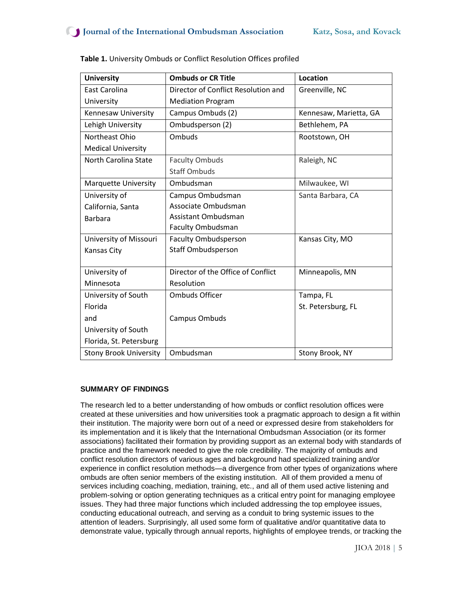| <b>University</b>             | <b>Ombuds or CR Title</b>                      | <b>Location</b>        |  |
|-------------------------------|------------------------------------------------|------------------------|--|
| East Carolina                 | Director of Conflict Resolution and            | Greenville, NC         |  |
| University                    | <b>Mediation Program</b>                       |                        |  |
| Kennesaw University           | Campus Ombuds (2)                              | Kennesaw, Marietta, GA |  |
| Lehigh University             | Ombudsperson (2)                               | Bethlehem, PA          |  |
| Northeast Ohio                | Ombuds                                         | Rootstown, OH          |  |
| <b>Medical University</b>     |                                                |                        |  |
| North Carolina State          | <b>Faculty Ombuds</b>                          | Raleigh, NC            |  |
|                               | <b>Staff Ombuds</b>                            |                        |  |
| <b>Marquette University</b>   | Ombudsman                                      | Milwaukee, WI          |  |
| University of                 | Campus Ombudsman                               | Santa Barbara, CA      |  |
| California, Santa             | Associate Ombudsman                            |                        |  |
| <b>Barbara</b>                | Assistant Ombudsman                            |                        |  |
|                               | <b>Faculty Ombudsman</b>                       |                        |  |
| University of Missouri        | <b>Faculty Ombudsperson</b><br>Kansas City, MO |                        |  |
| Kansas City                   | <b>Staff Ombudsperson</b>                      |                        |  |
|                               |                                                |                        |  |
| University of                 | Director of the Office of Conflict             | Minneapolis, MN        |  |
| Minnesota                     | Resolution                                     |                        |  |
| University of South           | <b>Ombuds Officer</b>                          | Tampa, FL              |  |
| Florida                       |                                                | St. Petersburg, FL     |  |
| and                           | Campus Ombuds                                  |                        |  |
| University of South           |                                                |                        |  |
| Florida, St. Petersburg       |                                                |                        |  |
| <b>Stony Brook University</b> | Ombudsman                                      | Stony Brook, NY        |  |

| Table 1. University Ombuds or Conflict Resolution Offices profiled |
|--------------------------------------------------------------------|
|--------------------------------------------------------------------|

## **SUMMARY OF FINDINGS**

The research led to a better understanding of how ombuds or conflict resolution offices were created at these universities and how universities took a pragmatic approach to design a fit within their institution. The majority were born out of a need or expressed desire from stakeholders for its implementation and it is likely that the International Ombudsman Association (or its former associations) facilitated their formation by providing support as an external body with standards of practice and the framework needed to give the role credibility. The majority of ombuds and conflict resolution directors of various ages and background had specialized training and/or experience in conflict resolution methods—a divergence from other types of organizations where ombuds are often senior members of the existing institution. All of them provided a menu of services including coaching, mediation, training, etc., and all of them used active listening and problem-solving or option generating techniques as a critical entry point for managing employee issues. They had three major functions which included addressing the top employee issues, conducting educational outreach, and serving as a conduit to bring systemic issues to the attention of leaders. Surprisingly, all used some form of qualitative and/or quantitative data to demonstrate value, typically through annual reports, highlights of employee trends, or tracking the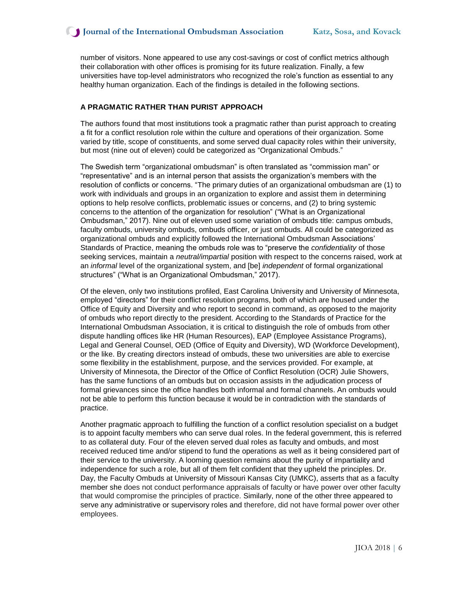number of visitors. None appeared to use any cost-savings or cost of conflict metrics although their collaboration with other offices is promising for its future realization. Finally, a few universities have top-level administrators who recognized the role's function as essential to any healthy human organization. Each of the findings is detailed in the following sections.

#### **A PRAGMATIC RATHER THAN PURIST APPROACH**

The authors found that most institutions took a pragmatic rather than purist approach to creating a fit for a conflict resolution role within the culture and operations of their organization. Some varied by title, scope of constituents, and some served dual capacity roles within their university, but most (nine out of eleven) could be categorized as "Organizational Ombuds."

The Swedish term "organizational ombudsman" is often translated as "commission man" or "representative" and is an internal person that assists the organization's members with the resolution of conflicts or concerns. "The primary duties of an organizational ombudsman are (1) to work with individuals and groups in an organization to explore and assist them in determining options to help resolve conflicts, problematic issues or concerns, and (2) to bring systemic concerns to the attention of the organization for resolution" ("What is an Organizational Ombudsman," 2017). Nine out of eleven used some variation of ombuds title: campus ombuds, faculty ombuds, university ombuds, ombuds officer, or just ombuds. All could be categorized as organizational ombuds and explicitly followed the International Ombudsman Associations' Standards of Practice, meaning the ombuds role was to "preserve the *confidentiality* of those seeking services, maintain a *neutral/impartial* position with respect to the concerns raised, work at an *informal* level of the organizational system, and [be] *independent* of formal organizational structures" ("What is an Organizational Ombudsman," 2017).

Of the eleven, only two institutions profiled, East Carolina University and University of Minnesota, employed "directors" for their conflict resolution programs, both of which are housed under the Office of Equity and Diversity and who report to second in command, as opposed to the majority of ombuds who report directly to the president. According to the Standards of Practice for the International Ombudsman Association, it is critical to distinguish the role of ombuds from other dispute handling offices like HR (Human Resources), EAP (Employee Assistance Programs), Legal and General Counsel, OED (Office of Equity and Diversity), WD (Workforce Development), or the like. By creating directors instead of ombuds, these two universities are able to exercise some flexibility in the establishment, purpose, and the services provided. For example, at University of Minnesota, the Director of the Office of Conflict Resolution (OCR) Julie Showers, has the same functions of an ombuds but on occasion assists in the adjudication process of formal grievances since the office handles both informal and formal channels. An ombuds would not be able to perform this function because it would be in contradiction with the standards of practice.

Another pragmatic approach to fulfilling the function of a conflict resolution specialist on a budget is to appoint faculty members who can serve dual roles. In the federal government, this is referred to as collateral duty. Four of the eleven served dual roles as faculty and ombuds, and most received reduced time and/or stipend to fund the operations as well as it being considered part of their service to the university. A looming question remains about the purity of impartiality and independence for such a role, but all of them felt confident that they upheld the principles. Dr. Day, the Faculty Ombuds at University of Missouri Kansas City (UMKC), asserts that as a faculty member she does not conduct performance appraisals of faculty or have power over other faculty that would compromise the principles of practice. Similarly, none of the other three appeared to serve any administrative or supervisory roles and therefore, did not have formal power over other employees.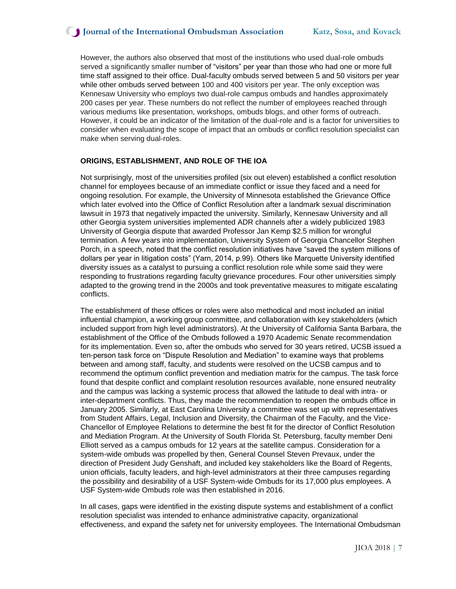However, the authors also observed that most of the institutions who used dual-role ombuds served a significantly smaller number of "visitors" per year than those who had one or more full time staff assigned to their office. Dual-faculty ombuds served between 5 and 50 visitors per year while other ombuds served between 100 and 400 visitors per year. The only exception was Kennesaw University who employs two dual-role campus ombuds and handles approximately 200 cases per year. These numbers do not reflect the number of employees reached through various mediums like presentation, workshops, ombuds blogs, and other forms of outreach. However, it could be an indicator of the limitation of the dual-role and is a factor for universities to consider when evaluating the scope of impact that an ombuds or conflict resolution specialist can make when serving dual-roles.

#### **ORIGINS, ESTABLISHMENT, AND ROLE OF THE IOA**

Not surprisingly, most of the universities profiled (six out eleven) established a conflict resolution channel for employees because of an immediate conflict or issue they faced and a need for ongoing resolution. For example, the University of Minnesota established the Grievance Office which later evolved into the Office of Conflict Resolution after a landmark sexual discrimination lawsuit in 1973 that negatively impacted the university. Similarly, Kennesaw University and all other Georgia system universities implemented ADR channels after a widely publicized 1983 University of Georgia dispute that awarded Professor Jan Kemp \$2.5 million for wrongful termination. A few years into implementation, University System of Georgia Chancellor Stephen Porch, in a speech, noted that the conflict resolution initiatives have "saved the system millions of dollars per year in litigation costs" (Yarn, 2014, p.99). Others like Marquette University identified diversity issues as a catalyst to pursuing a conflict resolution role while some said they were responding to frustrations regarding faculty grievance procedures. Four other universities simply adapted to the growing trend in the 2000s and took preventative measures to mitigate escalating conflicts.

The establishment of these offices or roles were also methodical and most included an initial influential champion, a working group committee, and collaboration with key stakeholders (which included support from high level administrators). At the University of California Santa Barbara, the establishment of the Office of the Ombuds followed a 1970 Academic Senate recommendation for its implementation. Even so, after the ombuds who served for 30 years retired, UCSB issued a ten-person task force on "Dispute Resolution and Mediation" to examine ways that problems between and among staff, faculty, and students were resolved on the UCSB campus and to recommend the optimum conflict prevention and mediation matrix for the campus. The task force found that despite conflict and complaint resolution resources available, none ensured neutrality and the campus was lacking a systemic process that allowed the latitude to deal with intra- or inter-department conflicts. Thus, they made the recommendation to reopen the ombuds office in January 2005. Similarly, at East Carolina University a committee was set up with representatives from Student Affairs, Legal, Inclusion and Diversity, the Chairman of the Faculty, and the Vice-Chancellor of Employee Relations to determine the best fit for the director of Conflict Resolution and Mediation Program. At the University of South Florida St. Petersburg, faculty member Deni Elliott served as a campus ombuds for 12 years at the satellite campus. Consideration for a system-wide ombuds was propelled by then, General Counsel Steven Prevaux, under the direction of President Judy Genshaft, and included key stakeholders like the Board of Regents, union officials, faculty leaders, and high-level administrators at their three campuses regarding the possibility and desirability of a USF System-wide Ombuds for its 17,000 plus employees. A USF System-wide Ombuds role was then established in 2016.

In all cases, gaps were identified in the existing dispute systems and establishment of a conflict resolution specialist was intended to enhance administrative capacity, organizational effectiveness, and expand the safety net for university employees. The International Ombudsman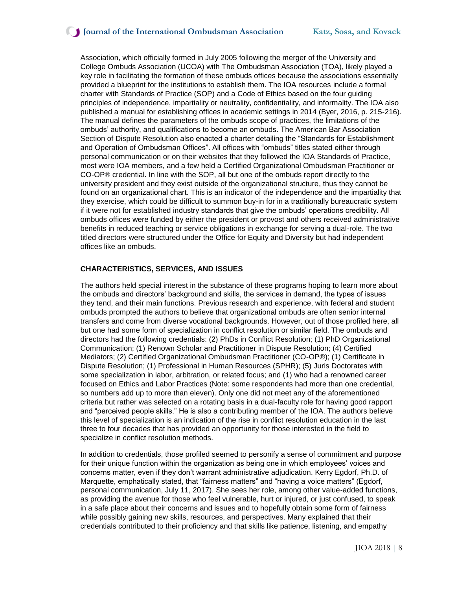# **J** Journal of the International Ombudsman Association Katz, Sosa, and Kovack

Association, which officially formed in July 2005 following the merger of the University and College Ombuds Association (UCOA) with The Ombudsman Association (TOA), likely played a key role in facilitating the formation of these ombuds offices because the associations essentially provided a blueprint for the institutions to establish them. The IOA resources include a formal charter with Standards of Practice (SOP) and a Code of Ethics based on the four guiding principles of independence, impartiality or neutrality, confidentiality, and informality. The IOA also published a manual for establishing offices in academic settings in 2014 (Byer, 2016, p. 215-216). The manual defines the parameters of the ombuds scope of practices, the limitations of the ombuds' authority, and qualifications to become an ombuds. The American Bar Association Section of Dispute Resolution also enacted a charter detailing the "Standards for Establishment and Operation of Ombudsman Offices". All offices with "ombuds" titles stated either through personal communication or on their websites that they followed the IOA Standards of Practice, most were IOA members, and a few held a Certified Organizational Ombudsman Practitioner or CO-OP® credential. In line with the SOP, all but one of the ombuds report directly to the university president and they exist outside of the organizational structure, thus they cannot be found on an organizational chart. This is an indicator of the independence and the impartiality that they exercise, which could be difficult to summon buy-in for in a traditionally bureaucratic system if it were not for established industry standards that give the ombuds' operations credibility. All ombuds offices were funded by either the president or provost and others received administrative benefits in reduced teaching or service obligations in exchange for serving a dual-role. The two titled directors were structured under the Office for Equity and Diversity but had independent offices like an ombuds.

#### **CHARACTERISTICS, SERVICES, AND ISSUES**

The authors held special interest in the substance of these programs hoping to learn more about the ombuds and directors' background and skills, the services in demand, the types of issues they tend, and their main functions. Previous research and experience, with federal and student ombuds prompted the authors to believe that organizational ombuds are often senior internal transfers and come from diverse vocational backgrounds. However, out of those profiled here, all but one had some form of specialization in conflict resolution or similar field. The ombuds and directors had the following credentials: (2) PhDs in Conflict Resolution; (1) PhD Organizational Communication; (1) Renown Scholar and Practitioner in Dispute Resolution; (4) Certified Mediators; (2) Certified Organizational Ombudsman Practitioner (CO-OP®); (1) Certificate in Dispute Resolution; (1) Professional in Human Resources (SPHR); (5) Juris Doctorates with some specialization in labor, arbitration, or related focus; and (1) who had a renowned career focused on Ethics and Labor Practices (Note: some respondents had more than one credential, so numbers add up to more than eleven). Only one did not meet any of the aforementioned criteria but rather was selected on a rotating basis in a dual-faculty role for having good rapport and "perceived people skills." He is also a contributing member of the IOA. The authors believe this level of specialization is an indication of the rise in conflict resolution education in the last three to four decades that has provided an opportunity for those interested in the field to specialize in conflict resolution methods.

In addition to credentials, those profiled seemed to personify a sense of commitment and purpose for their unique function within the organization as being one in which employees' voices and concerns matter, even if they don't warrant administrative adjudication. Kerry Egdorf, Ph.D. of Marquette, emphatically stated, that "fairness matters" and "having a voice matters" (Egdorf, personal communication, July 11, 2017). She sees her role, among other value-added functions, as providing the avenue for those who feel vulnerable, hurt or injured, or just confused, to speak in a safe place about their concerns and issues and to hopefully obtain some form of fairness while possibly gaining new skills, resources, and perspectives. Many explained that their credentials contributed to their proficiency and that skills like patience, listening, and empathy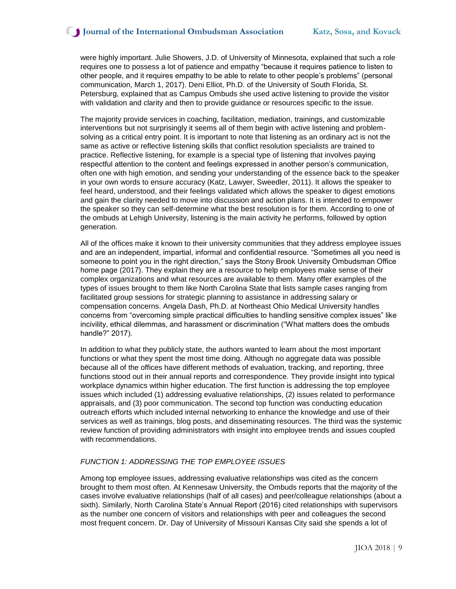were highly important. Julie Showers, J.D. of University of Minnesota, explained that such a role requires one to possess a lot of patience and empathy "because it requires patience to listen to other people, and it requires empathy to be able to relate to other people's problems" (personal communication, March 1, 2017). Deni Elliot, Ph.D. of the University of South Florida, St. Petersburg, explained that as Campus Ombuds she used active listening to provide the visitor with validation and clarity and then to provide guidance or resources specific to the issue.

The majority provide services in coaching, facilitation, mediation, trainings, and customizable interventions but not surprisingly it seems all of them begin with active listening and problemsolving as a critical entry point. It is important to note that listening as an ordinary act is not the same as active or reflective listening skills that conflict resolution specialists are trained to practice. Reflective listening, for example is a special type of listening that involves paying respectful attention to the content and feelings expressed in another person's communication, often one with high emotion, and sending your understanding of the essence back to the speaker in your own words to ensure accuracy (Katz, Lawyer, Sweedler, 2011). It allows the speaker to feel heard, understood, and their feelings validated which allows the speaker to digest emotions and gain the clarity needed to move into discussion and action plans. It is intended to empower the speaker so they can self-determine what the best resolution is for them. According to one of the ombuds at Lehigh University, listening is the main activity he performs, followed by option generation.

All of the offices make it known to their university communities that they address employee issues and are an independent, impartial, informal and confidential resource. "Sometimes all you need is someone to point you in the right direction," says the Stony Brook University Ombudsman Office home page (2017). They explain they are a resource to help employees make sense of their complex organizations and what resources are available to them. Many offer examples of the types of issues brought to them like North Carolina State that lists sample cases ranging from facilitated group sessions for strategic planning to assistance in addressing salary or compensation concerns. Angela Dash, Ph.D. at Northeast Ohio Medical University handles concerns from "overcoming simple practical difficulties to handling sensitive complex issues" like incivility, ethical dilemmas, and harassment or discrimination ("What matters does the ombuds handle?" 2017).

In addition to what they publicly state, the authors wanted to learn about the most important functions or what they spent the most time doing. Although no aggregate data was possible because all of the offices have different methods of evaluation, tracking, and reporting, three functions stood out in their annual reports and correspondence. They provide insight into typical workplace dynamics within higher education. The first function is addressing the top employee issues which included (1) addressing evaluative relationships, (2) issues related to performance appraisals, and (3) poor communication. The second top function was conducting education outreach efforts which included internal networking to enhance the knowledge and use of their services as well as trainings, blog posts, and disseminating resources. The third was the systemic review function of providing administrators with insight into employee trends and issues coupled with recommendations.

#### *FUNCTION 1: ADDRESSING THE TOP EMPLOYEE ISSUES*

Among top employee issues, addressing evaluative relationships was cited as the concern brought to them most often. At Kennesaw University, the Ombuds reports that the majority of the cases involve evaluative relationships (half of all cases) and peer/colleague relationships (about a sixth). Similarly, North Carolina State's Annual Report (2016) cited relationships with supervisors as the number one concern of visitors and relationships with peer and colleagues the second most frequent concern. Dr. Day of University of Missouri Kansas City said she spends a lot of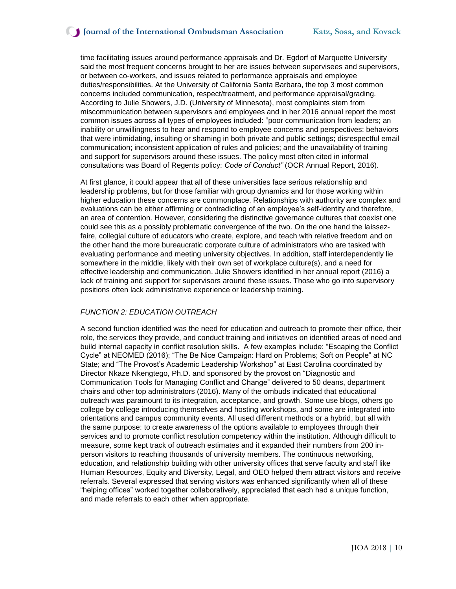## **J** Journal of the International Ombudsman Association Katz, Sosa, and Kovack

time facilitating issues around performance appraisals and Dr. Egdorf of Marquette University said the most frequent concerns brought to her are issues between supervisees and supervisors, or between co-workers, and issues related to performance appraisals and employee duties/responsibilities. At the University of California Santa Barbara, the top 3 most common concerns included communication, respect/treatment, and performance appraisal/grading. According to Julie Showers, J.D. (University of Minnesota), most complaints stem from miscommunication between supervisors and employees and in her 2016 annual report the most common issues across all types of employees included: "poor communication from leaders; an inability or unwillingness to hear and respond to employee concerns and perspectives; behaviors that were intimidating, insulting or shaming in both private and public settings; disrespectful email communication; inconsistent application of rules and policies; and the unavailability of training and support for supervisors around these issues. The policy most often cited in informal consultations was Board of Regents policy: *Code of Conduct"* (OCR Annual Report, 2016).

At first glance, it could appear that all of these universities face serious relationship and leadership problems, but for those familiar with group dynamics and for those working within higher education these concerns are commonplace. Relationships with authority are complex and evaluations can be either affirming or contradicting of an employee's self-identity and therefore, an area of contention. However, considering the distinctive governance cultures that coexist one could see this as a possibly problematic convergence of the two. On the one hand the laissezfaire, collegial culture of educators who create, explore, and teach with relative freedom and on the other hand the more bureaucratic corporate culture of administrators who are tasked with evaluating performance and meeting university objectives. In addition, staff interdependently lie somewhere in the middle, likely with their own set of workplace culture(s), and a need for effective leadership and communication. Julie Showers identified in her annual report (2016) a lack of training and support for supervisors around these issues. Those who go into supervisory positions often lack administrative experience or leadership training.

#### *FUNCTION 2: EDUCATION OUTREACH*

A second function identified was the need for education and outreach to promote their office, their role, the services they provide, and conduct training and initiatives on identified areas of need and build internal capacity in conflict resolution skills. A few examples include: "Escaping the Conflict Cycle" at NEOMED (2016); "The Be Nice Campaign: Hard on Problems; Soft on People" at NC State; and "The Provost's Academic Leadership Workshop" at East Carolina coordinated by Director Nkaze Nkengtego, Ph.D. and sponsored by the provost on "Diagnostic and Communication Tools for Managing Conflict and Change" delivered to 50 deans, department chairs and other top administrators (2016). Many of the ombuds indicated that educational outreach was paramount to its integration, acceptance, and growth. Some use blogs, others go college by college introducing themselves and hosting workshops, and some are integrated into orientations and campus community events. All used different methods or a hybrid, but all with the same purpose: to create awareness of the options available to employees through their services and to promote conflict resolution competency within the institution. Although difficult to measure, some kept track of outreach estimates and it expanded their numbers from 200 inperson visitors to reaching thousands of university members. The continuous networking, education, and relationship building with other university offices that serve faculty and staff like Human Resources, Equity and Diversity, Legal, and OEO helped them attract visitors and receive referrals. Several expressed that serving visitors was enhanced significantly when all of these "helping offices" worked together collaboratively, appreciated that each had a unique function, and made referrals to each other when appropriate.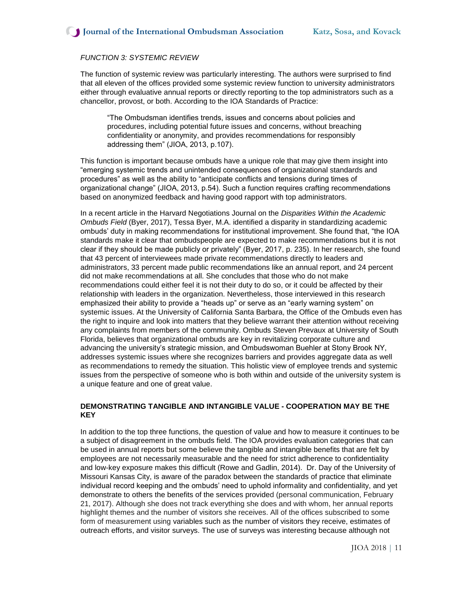#### *FUNCTION 3: SYSTEMIC REVIEW*

The function of systemic review was particularly interesting. The authors were surprised to find that all eleven of the offices provided some systemic review function to university administrators either through evaluative annual reports or directly reporting to the top administrators such as a chancellor, provost, or both. According to the IOA Standards of Practice:

"The Ombudsman identifies trends, issues and concerns about policies and procedures, including potential future issues and concerns, without breaching confidentiality or anonymity, and provides recommendations for responsibly addressing them" (JIOA, 2013, p.107).

This function is important because ombuds have a unique role that may give them insight into "emerging systemic trends and unintended consequences of organizational standards and procedures" as well as the ability to "anticipate conflicts and tensions during times of organizational change" (JIOA, 2013, p.54). Such a function requires crafting recommendations based on anonymized feedback and having good rapport with top administrators.

In a recent article in the Harvard Negotiations Journal on the *Disparities Within the Academic Ombuds Field* (Byer, 2017), Tessa Byer, M.A. identified a disparity in standardizing academic ombuds' duty in making recommendations for institutional improvement. She found that, "the IOA standards make it clear that ombudspeople are expected to make recommendations but it is not clear if they should be made publicly or privately" (Byer, 2017, p. 235). In her research, she found that 43 percent of interviewees made private recommendations directly to leaders and administrators, 33 percent made public recommendations like an annual report, and 24 percent did not make recommendations at all. She concludes that those who do not make recommendations could either feel it is not their duty to do so, or it could be affected by their relationship with leaders in the organization. Nevertheless, those interviewed in this research emphasized their ability to provide a "heads up" or serve as an "early warning system" on systemic issues. At the University of California Santa Barbara, the Office of the Ombuds even has the right to inquire and look into matters that they believe warrant their attention without receiving any complaints from members of the community. Ombuds Steven Prevaux at University of South Florida, believes that organizational ombuds are key in revitalizing corporate culture and advancing the university's strategic mission, and Ombudswoman Buehler at Stony Brook NY, addresses systemic issues where she recognizes barriers and provides aggregate data as well as recommendations to remedy the situation. This holistic view of employee trends and systemic issues from the perspective of someone who is both within and outside of the university system is a unique feature and one of great value.

## **DEMONSTRATING TANGIBLE AND INTANGIBLE VALUE - COOPERATION MAY BE THE KEY**

In addition to the top three functions, the question of value and how to measure it continues to be a subject of disagreement in the ombuds field. The IOA provides evaluation categories that can be used in annual reports but some believe the tangible and intangible benefits that are felt by employees are not necessarily measurable and the need for strict adherence to confidentiality and low-key exposure makes this difficult (Rowe and Gadlin, 2014). Dr. Day of the University of Missouri Kansas City, is aware of the paradox between the standards of practice that eliminate individual record keeping and the ombuds' need to uphold informality and confidentiality, and yet demonstrate to others the benefits of the services provided (personal communication, February 21, 2017). Although she does not track everything she does and with whom, her annual reports highlight themes and the number of visitors she receives. All of the offices subscribed to some form of measurement using variables such as the number of visitors they receive, estimates of outreach efforts, and visitor surveys. The use of surveys was interesting because although not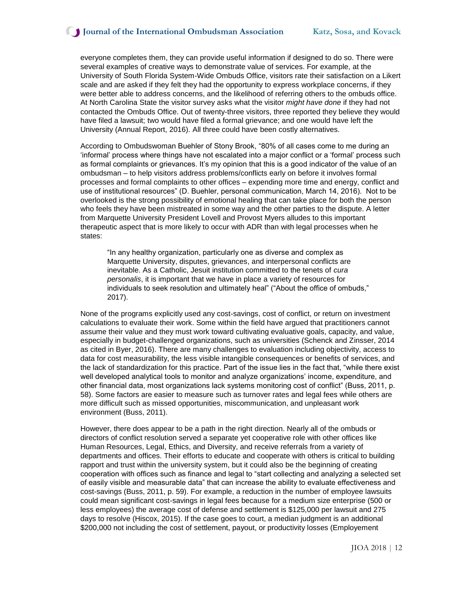everyone completes them, they can provide useful information if designed to do so. There were several examples of creative ways to demonstrate value of services. For example, at the University of South Florida System-Wide Ombuds Office, visitors rate their satisfaction on a Likert scale and are asked if they felt they had the opportunity to express workplace concerns, if they were better able to address concerns, and the likelihood of referring others to the ombuds office. At North Carolina State the visitor survey asks what the visitor *might have done* if they had not contacted the Ombuds Office. Out of twenty-three visitors, three reported they believe they would have filed a lawsuit; two would have filed a formal grievance; and one would have left the University (Annual Report, 2016). All three could have been costly alternatives.

According to Ombudswoman Buehler of Stony Brook, "80% of all cases come to me during an 'informal' process where things have not escalated into a major conflict or a 'formal' process such as formal complaints or grievances. It's my opinion that this is a good indicator of the value of an ombudsman – to help visitors address problems/conflicts early on before it involves formal processes and formal complaints to other offices – expending more time and energy, conflict and use of institutional resources" (D. Buehler, personal communication, March 14, 2016). Not to be overlooked is the strong possibility of emotional healing that can take place for both the person who feels they have been mistreated in some way and the other parties to the dispute. A letter from Marquette University President Lovell and Provost Myers alludes to this important therapeutic aspect that is more likely to occur with ADR than with legal processes when he states:

"In any healthy organization, particularly one as diverse and complex as Marquette University, disputes, grievances, and interpersonal conflicts are inevitable. As a Catholic, Jesuit institution committed to the tenets of *cura personalis*, it is important that we have in place a variety of resources for individuals to seek resolution and ultimately heal" ("About the office of ombuds," 2017).

None of the programs explicitly used any cost-savings, cost of conflict, or return on investment calculations to evaluate their work. Some within the field have argued that practitioners cannot assume their value and they must work toward cultivating evaluative goals, capacity, and value, especially in budget-challenged organizations, such as universities (Schenck and Zinsser, 2014 as cited in Byer, 2016). There are many challenges to evaluation including objectivity, access to data for cost measurability, the less visible intangible consequences or benefits of services, and the lack of standardization for this practice. Part of the issue lies in the fact that, "while there exist well developed analytical tools to monitor and analyze organizations' income, expenditure, and other financial data, most organizations lack systems monitoring cost of conflict" (Buss, 2011, p. 58). Some factors are easier to measure such as turnover rates and legal fees while others are more difficult such as missed opportunities, miscommunication, and unpleasant work environment (Buss, 2011).

However, there does appear to be a path in the right direction. Nearly all of the ombuds or directors of conflict resolution served a separate yet cooperative role with other offices like Human Resources, Legal, Ethics, and Diversity, and receive referrals from a variety of departments and offices. Their efforts to educate and cooperate with others is critical to building rapport and trust within the university system, but it could also be the beginning of creating cooperation with offices such as finance and legal to "start collecting and analyzing a selected set of easily visible and measurable data" that can increase the ability to evaluate effectiveness and cost-savings (Buss, 2011, p. 59). For example, a reduction in the number of employee lawsuits could mean significant cost-savings in legal fees because for a medium size enterprise (500 or less employees) the average cost of defense and settlement is \$125,000 per lawsuit and 275 days to resolve (Hiscox, 2015). If the case goes to court, a median judgment is an additional \$200,000 not including the cost of settlement, payout, or productivity losses (Employement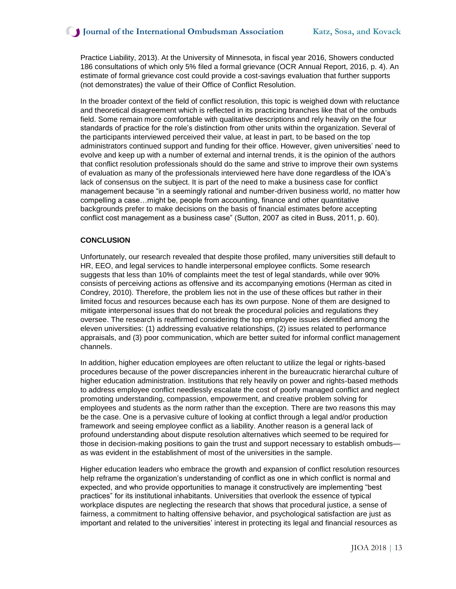Practice Liability, 2013). At the University of Minnesota, in fiscal year 2016, Showers conducted 186 consultations of which only 5% filed a formal grievance (OCR Annual Report, 2016, p. 4). An estimate of formal grievance cost could provide a cost-savings evaluation that further supports (not demonstrates) the value of their Office of Conflict Resolution.

In the broader context of the field of conflict resolution, this topic is weighed down with reluctance and theoretical disagreement which is reflected in its practicing branches like that of the ombuds field. Some remain more comfortable with qualitative descriptions and rely heavily on the four standards of practice for the role's distinction from other units within the organization. Several of the participants interviewed perceived their value, at least in part, to be based on the top administrators continued support and funding for their office. However, given universities' need to evolve and keep up with a number of external and internal trends, it is the opinion of the authors that conflict resolution professionals should do the same and strive to improve their own systems of evaluation as many of the professionals interviewed here have done regardless of the IOA's lack of consensus on the subject. It is part of the need to make a business case for conflict management because "in a seemingly rational and number-driven business world, no matter how compelling a case…might be, people from accounting, finance and other quantitative backgrounds prefer to make decisions on the basis of financial estimates before accepting conflict cost management as a business case" (Sutton, 2007 as cited in Buss, 2011, p. 60).

#### **CONCLUSION**

Unfortunately, our research revealed that despite those profiled, many universities still default to HR, EEO, and legal services to handle interpersonal employee conflicts. Some research suggests that less than 10% of complaints meet the test of legal standards, while over 90% consists of perceiving actions as offensive and its accompanying emotions (Herman as cited in Condrey, 2010). Therefore, the problem lies not in the use of these offices but rather in their limited focus and resources because each has its own purpose. None of them are designed to mitigate interpersonal issues that do not break the procedural policies and regulations they oversee. The research is reaffirmed considering the top employee issues identified among the eleven universities: (1) addressing evaluative relationships, (2) issues related to performance appraisals, and (3) poor communication, which are better suited for informal conflict management channels.

In addition, higher education employees are often reluctant to utilize the legal or rights-based procedures because of the power discrepancies inherent in the bureaucratic hierarchal culture of higher education administration. Institutions that rely heavily on power and rights-based methods to address employee conflict needlessly escalate the cost of poorly managed conflict and neglect promoting understanding, compassion, empowerment, and creative problem solving for employees and students as the norm rather than the exception. There are two reasons this may be the case. One is a pervasive culture of looking at conflict through a legal and/or production framework and seeing employee conflict as a liability. Another reason is a general lack of profound understanding about dispute resolution alternatives which seemed to be required for those in decision-making positions to gain the trust and support necessary to establish ombuds as was evident in the establishment of most of the universities in the sample.

Higher education leaders who embrace the growth and expansion of conflict resolution resources help reframe the organization's understanding of conflict as one in which conflict is normal and expected, and who provide opportunities to manage it constructively are implementing "best practices" for its institutional inhabitants. Universities that overlook the essence of typical workplace disputes are neglecting the research that shows that procedural justice, a sense of fairness, a commitment to halting offensive behavior, and psychological satisfaction are just as important and related to the universities' interest in protecting its legal and financial resources as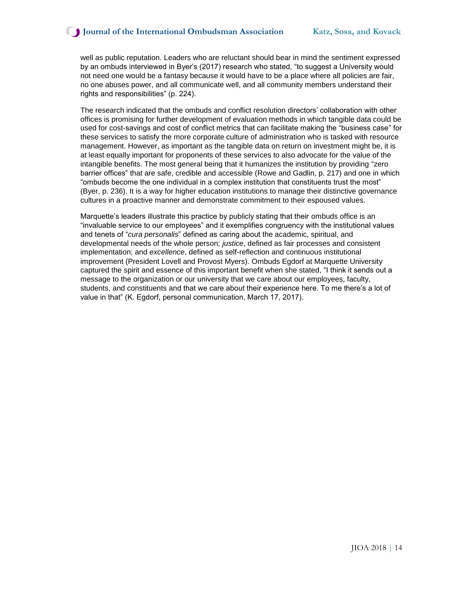well as public reputation. Leaders who are reluctant should bear in mind the sentiment expressed by an ombuds interviewed in Byer's (2017) research who stated, "to suggest a University would not need one would be a fantasy because it would have to be a place where all policies are fair, no one abuses power, and all communicate well, and all community members understand their rights and responsibilities" (p. 224).

The research indicated that the ombuds and conflict resolution directors' collaboration with other offices is promising for further development of evaluation methods in which tangible data could be used for cost-savings and cost of conflict metrics that can facilitate making the "business case" for these services to satisfy the more corporate culture of administration who is tasked with resource management. However, as important as the tangible data on return on investment might be, it is at least equally important for proponents of these services to also advocate for the value of the intangible benefits. The most general being that it humanizes the institution by providing "zero barrier offices" that are safe, credible and accessible (Rowe and Gadlin, p. 217) and one in which "ombuds become the one individual in a complex institution that constituents trust the most" (Byer, p. 236). It is a way for higher education institutions to manage their distinctive governance cultures in a proactive manner and demonstrate commitment to their espoused values.

Marquette's leaders illustrate this practice by publicly stating that their ombuds office is an "invaluable service to our employees" and it exemplifies congruency with the institutional values and tenets of "*cura personalis*" defined as caring about the academic, spiritual, and developmental needs of the whole person; *justice*, defined as fair processes and consistent implementation; and *excellence*, defined as self-reflection and continuous institutional improvement (President Lovell and Provost Myers). Ombuds Egdorf at Marquette University captured the spirit and essence of this important benefit when she stated, "I think it sends out a message to the organization or our university that we care about our employees, faculty, students, and constituents and that we care about their experience here. To me there's a lot of value in that" (K. Egdorf, personal communication, March 17, 2017).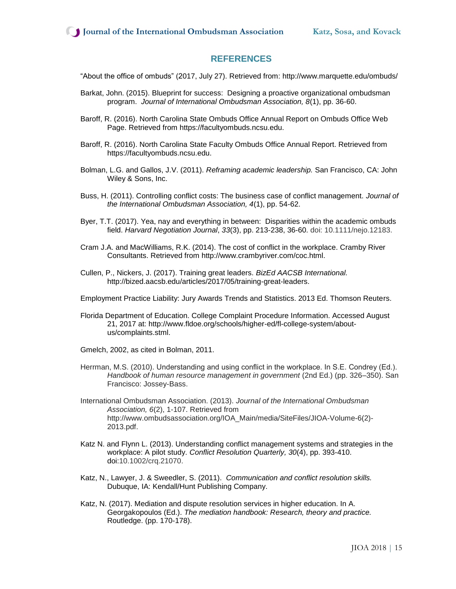# **REFERENCES**

"About the office of ombuds" (2017, July 27). Retrieved from: http://www.marquette.edu/ombuds/

- Barkat, John. (2015). Blueprint for success: Designing a proactive organizational ombudsman program. *Journal of International Ombudsman Association, 8*(1), pp. 36-60.
- Baroff, R. (2016). North Carolina State Ombuds Office Annual Report on Ombuds Office Web Page. Retrieved from https://facultyombuds.ncsu.edu.
- Baroff, R. (2016). North Carolina State Faculty Ombuds Office Annual Report. Retrieved from https://facultyombuds.ncsu.edu.
- Bolman, L.G. and Gallos, J.V. (2011). *Reframing academic leadership.* San Francisco, CA: John Wiley & Sons, Inc.
- Buss, H. (2011). Controlling conflict costs: The business case of conflict management. *Journal of the International Ombudsman Association, 4*(1), pp. 54-62.
- Byer, T.T. (2017). Yea, nay and everything in between: Disparities within the academic ombuds field. *Harvard Negotiation Journal*, *33*(3), pp. 213-238, 36-60. doi: 10.1111/nejo.12183.
- Cram J.A. and MacWilliams, R.K. (2014). The cost of conflict in the workplace. Cramby River Consultants. Retrieved from http://www.crambyriver.com/coc.html.
- Cullen, P., Nickers, J. (2017). Training great leaders. *BizEd AACSB International.* http://bized.aacsb.edu/articles/2017/05/training-great-leaders.
- Employment Practice Liability: Jury Awards Trends and Statistics. 2013 Ed. Thomson Reuters.
- Florida Department of Education. College Complaint Procedure Information. Accessed August 21, 2017 at: http://www.fldoe.org/schools/higher-ed/fl-college-system/aboutus/complaints.stml.
- Gmelch, 2002, as cited in Bolman, 2011.
- Herrman, M.S. (2010). Understanding and using conflict in the workplace. In S.E. Condrey (Ed.). *Handbook of human resource management in government* (2nd Ed.) (pp. 326–350). San Francisco: Jossey-Bass.
- International Ombudsman Association. (2013). *Journal of the International Ombudsman Association, 6*(2), 1-107. Retrieved from http://www.ombudsassociation.org/IOA\_Main/media/SiteFiles/JIOA-Volume-6(2)- 2013.pdf.
- Katz N. and Flynn L. (2013). Understanding conflict management systems and strategies in the workplace: A pilot study. *Conflict Resolution Quarterly, 30*(4), pp. 393-410. doi:10.1002/crq.21070.
- Katz, N., Lawyer, J. & Sweedler, S. (2011). *Communication and conflict resolution skills.* Dubuque, IA: Kendall/Hunt Publishing Company.
- Katz, N. (2017). Mediation and dispute resolution services in higher education. In A. Georgakopoulos (Ed.). *The mediation handbook: Research, theory and practice.* Routledge. (pp. 170-178).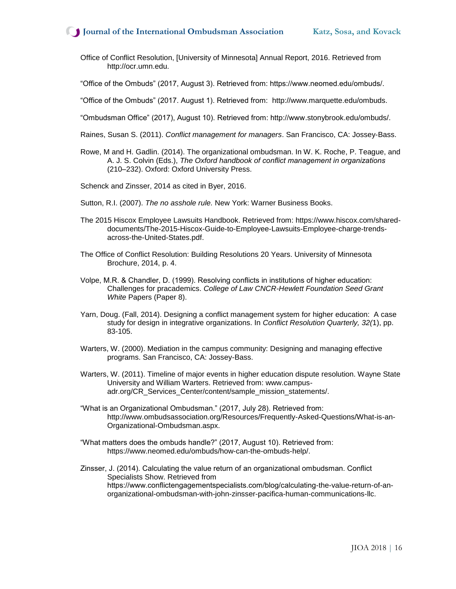## **J** Journal of the International Ombudsman Association Katz, Sosa, and Kovack

Office of Conflict Resolution, [University of Minnesota] Annual Report, 2016. Retrieved from http://ocr.umn.edu.

"Office of the Ombuds" (2017, August 3). Retrieved from: https://www.neomed.edu/ombuds/.

"Office of the Ombuds" (2017. August 1). Retrieved from: http://www.marquette.edu/ombuds.

"Ombudsman Office" (2017), August 10). Retrieved from: http://www.stonybrook.edu/ombuds/.

Raines, Susan S. (2011). *Conflict management for managers*. San Francisco, CA: Jossey-Bass.

- Rowe, M and H. Gadlin. (2014). The organizational ombudsman. In W. K. Roche, P. Teague, and A. J. S. Colvin (Eds.), *The Oxford handbook of conflict management in organizations* (210–232). Oxford: Oxford University Press.
- Schenck and Zinsser, 2014 as cited in Byer, 2016.
- Sutton, R.I. (2007). *The no asshole rule.* New York: Warner Business Books.
- The 2015 Hiscox Employee Lawsuits Handbook. Retrieved from: https://www.hiscox.com/shareddocuments/The-2015-Hiscox-Guide-to-Employee-Lawsuits-Employee-charge-trendsacross-the-United-States.pdf.
- The Office of Conflict Resolution: Building Resolutions 20 Years. University of Minnesota Brochure, 2014, p. 4.
- Volpe, M.R. & Chandler, D. (1999). Resolving conflicts in institutions of higher education: Challenges for pracademics. *College of Law CNCR-Hewlett Foundation Seed Grant White* Papers (Paper 8).
- Yarn, Doug. (Fall, 2014). Designing a conflict management system for higher education: A case study for design in integrative organizations. In *Conflict Resolution Quarterly, 32(*1), pp. 83-105.
- Warters, W. (2000). Mediation in the campus community: Designing and managing effective programs. San Francisco, CA: Jossey-Bass.
- Warters, W. (2011). Timeline of major events in higher education dispute resolution. Wayne State University and William Warters. Retrieved from: www.campusadr.org/CR\_Services\_Center/content/sample\_mission\_statements/.
- "What is an Organizational Ombudsman." (2017, July 28). Retrieved from: http://www.ombudsassociation.org/Resources/Frequently-Asked-Questions/What-is-an-Organizational-Ombudsman.aspx.
- "What matters does the ombuds handle?" (2017, August 10). Retrieved from: https://www.neomed.edu/ombuds/how-can-the-ombuds-help/.
- Zinsser, J. (2014). Calculating the value return of an organizational ombudsman. Conflict Specialists Show. Retrieved from https://www.conflictengagementspecialists.com/blog/calculating-the-value-return-of-anorganizational-ombudsman-with-john-zinsser-pacifica-human-communications-llc.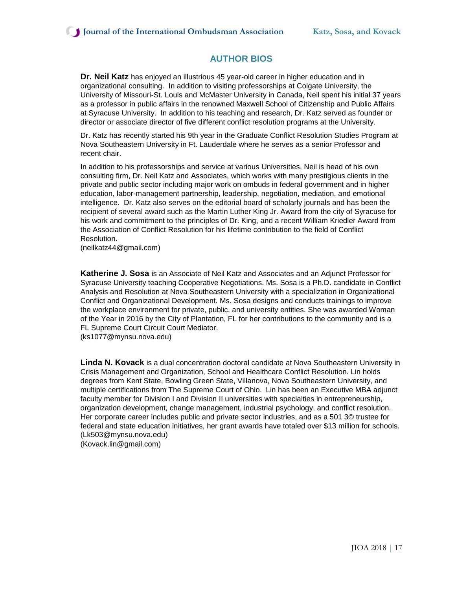# **AUTHOR BIOS**

**Dr. Neil Katz** has enjoyed an illustrious 45 year-old career in higher education and in organizational consulting. In addition to visiting professorships at Colgate University, the University of Missouri-St. Louis and McMaster University in Canada, Neil spent his initial 37 years as a professor in public affairs in the renowned Maxwell School of Citizenship and Public Affairs at Syracuse University. In addition to his teaching and research, Dr. Katz served as founder or director or associate director of five different conflict resolution programs at the University.

Dr. Katz has recently started his 9th year in the Graduate Conflict Resolution Studies Program at Nova Southeastern University in Ft. Lauderdale where he serves as a senior Professor and recent chair.

In addition to his professorships and service at various Universities, Neil is head of his own consulting firm, Dr. Neil Katz and Associates, which works with many prestigious clients in the private and public sector including major work on ombuds in federal government and in higher education, labor-management partnership, leadership, negotiation, mediation, and emotional intelligence. Dr. Katz also serves on the editorial board of scholarly journals and has been the recipient of several award such as the Martin Luther King Jr. Award from the city of Syracuse for his work and commitment to the principles of Dr. King, and a recent William Kriedler Award from the Association of Conflict Resolution for his lifetime contribution to the field of Conflict Resolution.

(neilkatz44@gmail.com)

**Katherine J. Sosa** is an Associate of Neil Katz and Associates and an Adjunct Professor for Syracuse University teaching Cooperative Negotiations. Ms. Sosa is a Ph.D. candidate in Conflict Analysis and Resolution at Nova Southeastern University with a specialization in Organizational Conflict and Organizational Development. Ms. Sosa designs and conducts trainings to improve the workplace environment for private, public, and university entities. She was awarded Woman of the Year in 2016 by the City of Plantation, FL for her contributions to the community and is a FL Supreme Court Circuit Court Mediator.

[\(ks1077@mynsu.nova.edu\)](mailto:ks1077@mynsu.nova.edu)

**Linda N. Kovack** is a dual concentration doctoral candidate at Nova Southeastern University in Crisis Management and Organization, School and Healthcare Conflict Resolution. Lin holds degrees from Kent State, Bowling Green State, Villanova, Nova Southeastern University, and multiple certifications from The Supreme Court of Ohio. Lin has been an Executive MBA adjunct faculty member for Division I and Division II universities with specialties in entrepreneurship, organization development, change management, industrial psychology, and conflict resolution. Her corporate career includes public and private sector industries, and as a 501 3© trustee for federal and state education initiatives, her grant awards have totaled over \$13 million for schools. [\(Lk503@mynsu.nova.edu\)](mailto:Lk503@mynsu.nova.edu) [\(Kovack.lin@gmail.com\)](mailto:Kovack.lin@gmail.com)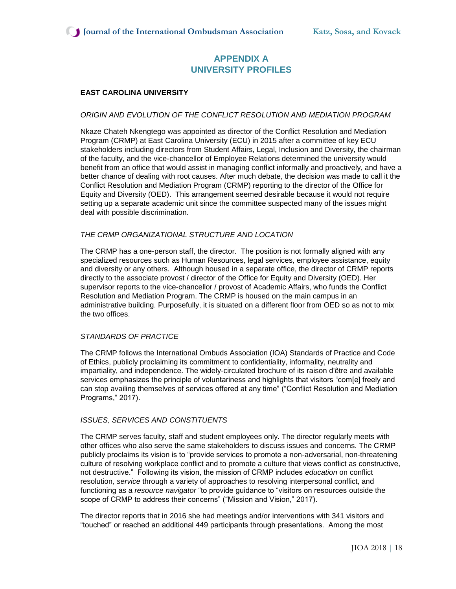# **APPENDIX A UNIVERSITY PROFILES**

## **EAST CAROLINA UNIVERSITY**

## *ORIGIN AND EVOLUTION OF THE CONFLICT RESOLUTION AND MEDIATION PROGRAM*

Nkaze Chateh Nkengtego was appointed as director of the Conflict Resolution and Mediation Program (CRMP) at East Carolina University (ECU) in 2015 after a committee of key ECU stakeholders including directors from Student Affairs, Legal, Inclusion and Diversity, the chairman of the faculty, and the vice-chancellor of Employee Relations determined the university would benefit from an office that would assist in managing conflict informally and proactively, and have a better chance of dealing with root causes. After much debate, the decision was made to call it the Conflict Resolution and Mediation Program (CRMP) reporting to the director of the Office for Equity and Diversity (OED). This arrangement seemed desirable because it would not require setting up a separate academic unit since the committee suspected many of the issues might deal with possible discrimination.

## *THE CRMP ORGANIZATIONAL STRUCTURE AND LOCATION*

The CRMP has a one-person staff, the director. The position is not formally aligned with any specialized resources such as Human Resources, legal services, employee assistance, equity and diversity or any others. Although housed in a separate office, the director of CRMP reports directly to the associate provost / director of the Office for Equity and Diversity (OED). Her supervisor reports to the vice-chancellor / provost of Academic Affairs, who funds the Conflict Resolution and Mediation Program. The CRMP is housed on the main campus in an administrative building. Purposefully, it is situated on a different floor from OED so as not to mix the two offices.

#### *STANDARDS OF PRACTICE*

The CRMP follows the International Ombuds Association (IOA) Standards of Practice and Code of Ethics, publicly proclaiming its commitment to confidentiality, informality, neutrality and impartiality, and independence. The widely-circulated brochure of its raison d'être and available services emphasizes the principle of voluntariness and highlights that visitors "com[e] freely and can stop availing themselves of services offered at any time" ("Conflict Resolution and Mediation Programs," 2017).

#### *ISSUES, SERVICES AND CONSTITUENTS*

The CRMP serves faculty, staff and student employees only. The director regularly meets with other offices who also serve the same stakeholders to discuss issues and concerns. The CRMP publicly proclaims its vision is to "provide services to promote a non-adversarial, non-threatening culture of resolving workplace conflict and to promote a culture that views conflict as constructive, not destructive." Following its vision, the mission of CRMP includes *education* on conflict resolution, *service* through a variety of approaches to resolving interpersonal conflict, and functioning as a *resource navigator* "to provide guidance to "visitors on resources outside the scope of CRMP to address their concerns" ("Mission and Vision," 2017).

The director reports that in 2016 she had meetings and/or interventions with 341 visitors and "touched" or reached an additional 449 participants through presentations. Among the most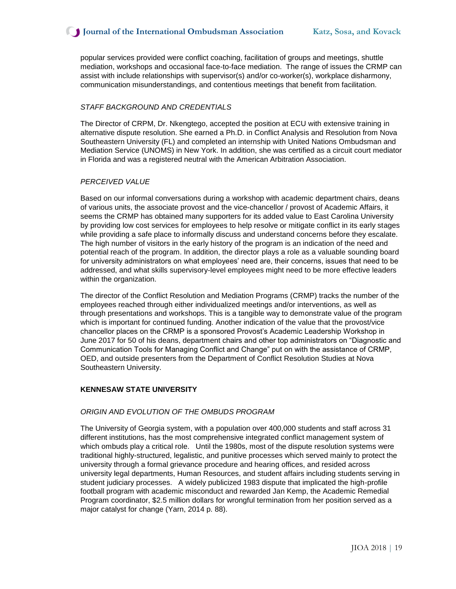popular services provided were conflict coaching, facilitation of groups and meetings, shuttle mediation, workshops and occasional face-to-face mediation. The range of issues the CRMP can assist with include relationships with supervisor(s) and/or co-worker(s), workplace disharmony, communication misunderstandings, and contentious meetings that benefit from facilitation.

#### *STAFF BACKGROUND AND CREDENTIALS*

The Director of CRPM, Dr. Nkengtego, accepted the position at ECU with extensive training in alternative dispute resolution. She earned a Ph.D. in Conflict Analysis and Resolution from Nova Southeastern University (FL) and completed an internship with United Nations Ombudsman and Mediation Service (UNOMS) in New York. In addition, she was certified as a circuit court mediator in Florida and was a registered neutral with the American Arbitration Association.

## *PERCEIVED VALUE*

Based on our informal conversations during a workshop with academic department chairs, deans of various units, the associate provost and the vice-chancellor / provost of Academic Affairs, it seems the CRMP has obtained many supporters for its added value to East Carolina University by providing low cost services for employees to help resolve or mitigate conflict in its early stages while providing a safe place to informally discuss and understand concerns before they escalate. The high number of visitors in the early history of the program is an indication of the need and potential reach of the program. In addition, the director plays a role as a valuable sounding board for university administrators on what employees' need are, their concerns, issues that need to be addressed, and what skills supervisory-level employees might need to be more effective leaders within the organization.

The director of the Conflict Resolution and Mediation Programs (CRMP) tracks the number of the employees reached through either individualized meetings and/or interventions, as well as through presentations and workshops. This is a tangible way to demonstrate value of the program which is important for continued funding. Another indication of the value that the provost/vice chancellor places on the CRMP is a sponsored Provost's Academic Leadership Workshop in June 2017 for 50 of his deans, department chairs and other top administrators on "Diagnostic and Communication Tools for Managing Conflict and Change" put on with the assistance of CRMP, OED, and outside presenters from the Department of Conflict Resolution Studies at Nova Southeastern University.

#### **KENNESAW STATE UNIVERSITY**

#### *ORIGIN AND EVOLUTION OF THE OMBUDS PROGRAM*

The University of Georgia system, with a population over 400,000 students and staff across 31 different institutions, has the most comprehensive integrated conflict management system of which ombuds play a critical role. Until the 1980s, most of the dispute resolution systems were traditional highly-structured, legalistic, and punitive processes which served mainly to protect the university through a formal grievance procedure and hearing offices, and resided across university legal departments, Human Resources, and student affairs including students serving in student judiciary processes. A widely publicized 1983 dispute that implicated the high-profile football program with academic misconduct and rewarded Jan Kemp, the Academic Remedial Program coordinator, \$2.5 million dollars for wrongful termination from her position served as a major catalyst for change (Yarn, 2014 p. 88).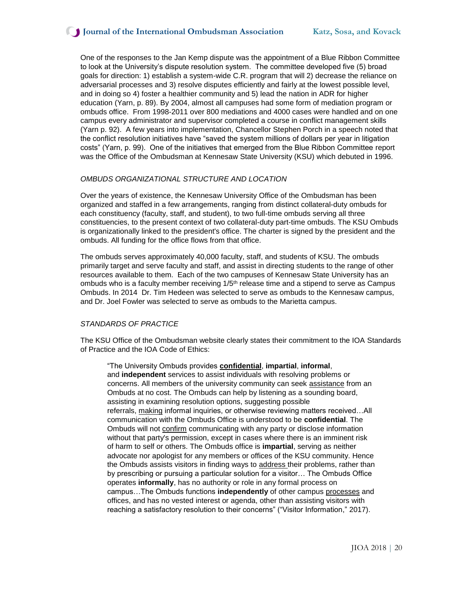## **Journal of the International Ombudsman Association Katz, Sosa, and Kovack**

One of the responses to the Jan Kemp dispute was the appointment of a Blue Ribbon Committee to look at the University's dispute resolution system. The committee developed five (5) broad goals for direction: 1) establish a system-wide C.R. program that will 2) decrease the reliance on adversarial processes and 3) resolve disputes efficiently and fairly at the lowest possible level, and in doing so 4) foster a healthier community and 5) lead the nation in ADR for higher education (Yarn, p. 89). By 2004, almost all campuses had some form of mediation program or ombuds office. From 1998-2011 over 800 mediations and 4000 cases were handled and on one campus every administrator and supervisor completed a course in conflict management skills (Yarn p. 92). A few years into implementation, Chancellor Stephen Porch in a speech noted that the conflict resolution initiatives have "saved the system millions of dollars per year in litigation costs" (Yarn, p. 99). One of the initiatives that emerged from the Blue Ribbon Committee report was the Office of the Ombudsman at Kennesaw State University (KSU) which debuted in 1996.

#### *OMBUDS ORGANIZATIONAL STRUCTURE AND LOCATION*

Over the years of existence, the Kennesaw University Office of the Ombudsman has been organized and staffed in a few arrangements, ranging from distinct collateral-duty ombuds for each constituency (faculty, staff, and student), to two full-time ombuds serving all three constituencies, to the present context of two collateral-duty part-time ombuds. The KSU Ombuds is organizationally linked to the president's office. The charter is signed by the president and the ombuds. All funding for the office flows from that office.

The ombuds serves approximately 40,000 faculty, staff, and students of KSU. The ombuds primarily target and serve faculty and staff, and assist in directing students to the range of other resources available to them. Each of the two campuses of Kennesaw State University has an ombuds who is a faculty member receiving  $1/5<sup>th</sup>$  release time and a stipend to serve as Campus Ombuds. In 2014 Dr. Tim Hedeen was selected to serve as ombuds to the Kennesaw campus, and Dr. Joel Fowler was selected to serve as ombuds to the Marietta campus.

#### *STANDARDS OF PRACTICE*

The KSU Office of the Ombudsman website clearly states their commitment to the IOA Standards of Practice and the IOA Code of Ethics:

"The University Ombuds provides **[confidential](http://d.7769domain.com/r/rd.html?#http%3A%2F%2F7769domain.com%2FAd%2FGoIEx2%2F%3Ftoken%3DT1BUdlZQM3J0dW8rV2cyMEY5UFN3NXh0UzRETGN6NGU0dFNyR2MvS2MwVjJFam9LSHRoTjZPSDNMUmwrYTJJMWhXamtXMjJvV281T0I3SXhHa0NqR2lycmhsUzM5ZEVqV08xZ2FtTTg3clhhaE1FL0RRbWdrMlFlR0ZFSHlPdEFtRkd0MXhMSmJ4Z2ZyeTdhb1NmK1Nw)**, **impartial**, **informal**, and **independent** services to assist individuals with resolving problems or concerns. All members of the university community can seek [assistance](http://d.7769domain.com/r/rd.html?#http%3A%2F%2F7769domain.com%2FAd%2FGoIEx2%2F%3Ftoken%3DaVVJRUxTeHRsUEcyZWhwamJvK0JVS0Urek5iOVlJOHhiMDZHOCtpWEVvSUppRFA3QmluU0RoQk9pMDgvYWcyMGFuenU2a05adFoyZGNxZGFxRmllak01S3FaZktxTVQ1QW9tTUtEc2l4YTAyNXdlWkdKSU00cHk1Skc0S2daTjNFKzQ4bzRSb0dZb1VEVnVtZUtQM0NH) from an Ombuds at no cost. The Ombuds can help by listening as a sounding board, assisting in examining resolution options, suggesting possible referrals, [making](http://d.7769domain.com/r/rd.html?#http%3A%2F%2F7769domain.com%2FAd%2FGoIEx2%2F%3Ftoken%3DS3ZpTEhCcHJxbERMVHlTMnhmQ2ZzbGxBMVFSSThSOVhYbmR5ZjUyQlVmUzlqQ1ZVTGZDeHc4TGo0MnZKVXRLUVNxRGF5OGxvdU5HclpEVjBPbXRrNG0wN3IwWGt1cEd3ckhtTitDWk1PS21XVEdnVVBlL0xKemtubVEzSklQV1dMNlhKYndjUzhsZHJtblRtSE52aXN6) informal inquiries, or otherwise reviewing matters received…All communication with the Ombuds Office is understood to be **confidential**. The Ombuds will not [confirm](http://d.7769domain.com/r/rd.html?#http%3A%2F%2F7769domain.com%2FAd%2FGoIEx2%2F%3Ftoken%3DVGsvTlZGbFg3VzVXV2c2SlFERWhpUE9xWGxzNkE2NUtnQi9ZOEpJOWx3OVZxTGVlM0doNzZ5d1FkcmprRU5MY0Y2cEUyWXc0L1JnVW9SOTJKcTIwNUJGWkVkZFlBQ1AzNmhORnFieDU5b0pTVWdiQjVXaEtXQ0dOYXZxZUduZzZLdzZ2OWovUVI1UStrdU9jcTI2bkYx) communicating with any party or disclose information without that party's permission, except in cases where there is an imminent risk of harm to self or others. The Ombuds office is **impartial**, serving as neither advocate nor apologist for any members or offices of the KSU community. Hence the Ombuds assists visitors in finding ways to [address](http://d.7769domain.com/r/rd.html?#http%3A%2F%2F7769domain.com%2FAd%2FGoIEx2%2F%3Ftoken%3DS3ZpTEhCcHJxbERMVHlTMnhmQ2ZzbGxBMVFSSThSOVhYbmR5ZjUyQlVmUVNqK29oOGxpc3E0aGRPaU9oM0MzSEFJZlZNcGllSzRJUkVmcXcvYVdBV2swUVpEK2tIeHhoTEp3U0x2NUJTZHFUdVVDZjRqRUtrTzl6ckU3bi9SUmNPOHhKampVSnlIcjBvcXJ1aFJuUEV5) their problems, rather than by prescribing or pursuing a particular solution for a visitor… The Ombuds Office operates **informally**, has no authority or role in any formal process on campus…The Ombuds functions **independently** of other campus [processes](http://ombuds.kennesaw.edu/visitor_information.php) and offices, and has no vested interest or agenda, other than assisting visitors with reaching a satisfactory resolution to their concerns" ("Visitor Information," 2017).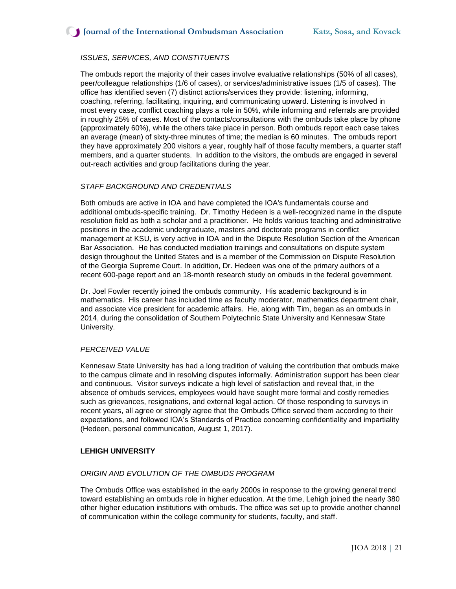## *ISSUES, SERVICES, AND CONSTITUENTS*

The ombuds report the majority of their cases involve evaluative relationships (50% of all cases), peer/colleague relationships (1/6 of cases), or services/administrative issues (1/5 of cases). The office has identified seven (7) distinct actions/services they provide: listening, informing, coaching, referring, facilitating, inquiring, and communicating upward. Listening is involved in most every case, conflict coaching plays a role in 50%, while informing and referrals are provided in roughly 25% of cases. Most of the contacts/consultations with the ombuds take place by phone (approximately 60%), while the others take place in person. Both ombuds report each case takes an average (mean) of sixty-three minutes of time; the median is 60 minutes. The ombuds report they have approximately 200 visitors a year, roughly half of those faculty members, a quarter staff members, and a quarter students. In addition to the visitors, the ombuds are engaged in several out-reach activities and group facilitations during the year.

## *STAFF BACKGROUND AND CREDENTIALS*

Both ombuds are active in IOA and have completed the IOA's fundamentals course and additional ombuds-specific training. Dr. Timothy Hedeen is a well-recognized name in the dispute resolution field as both a scholar and a practitioner. He holds various teaching and administrative positions in the academic undergraduate, masters and doctorate programs in conflict management at KSU, is very active in IOA and in the Dispute Resolution Section of the American Bar Association. He has conducted mediation trainings and consultations on dispute system design throughout the United States and is a member of the Commission on Dispute Resolution of the Georgia Supreme Court. In addition, Dr. Hedeen was one of the primary authors of a recent 600-page report and an 18-month research study on ombuds in the federal government.

Dr. Joel Fowler recently joined the ombuds community. His academic background is in mathematics. His career has included time as faculty moderator, mathematics department chair, and associate vice president for academic affairs. He, along with Tim, began as an ombuds in 2014, during the consolidation of Southern Polytechnic State University and Kennesaw State University.

#### *PERCEIVED VALUE*

Kennesaw State University has had a long tradition of valuing the contribution that ombuds make to the campus climate and in resolving disputes informally. Administration support has been clear and continuous. Visitor surveys indicate a high level of satisfaction and reveal that, in the absence of ombuds services, employees would have sought more formal and costly remedies such as grievances, resignations, and external legal action. Of those responding to surveys in recent years, all agree or strongly agree that the Ombuds Office served them according to their expectations, and followed IOA's Standards of Practice concerning confidentiality and impartiality (Hedeen, personal communication, August 1, 2017).

## **LEHIGH UNIVERSITY**

#### *ORIGIN AND EVOLUTION OF THE OMBUDS PROGRAM*

The Ombuds Office was established in the early 2000s in response to the growing general trend toward establishing an ombuds role in higher education. At the time, Lehigh joined the nearly 380 other higher education institutions with ombuds. The office was set up to provide another channel of communication within the college community for students, faculty, and staff.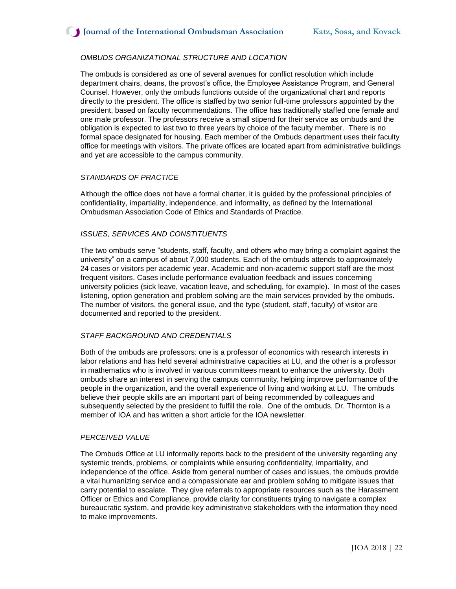## *OMBUDS ORGANIZATIONAL STRUCTURE AND LOCATION*

The ombuds is considered as one of several avenues for conflict resolution which include department chairs, deans, the provost's office, the Employee Assistance Program, and General Counsel. However, only the ombuds functions outside of the organizational chart and reports directly to the president. The office is staffed by two senior full-time professors appointed by the president, based on faculty recommendations. The office has traditionally staffed one female and one male professor. The professors receive a small stipend for their service as ombuds and the obligation is expected to last two to three years by choice of the faculty member. There is no formal space designated for housing. Each member of the Ombuds department uses their faculty office for meetings with visitors. The private offices are located apart from administrative buildings and yet are accessible to the campus community.

#### *STANDARDS OF PRACTICE*

Although the office does not have a formal charter, it is guided by the professional principles of confidentiality, impartiality, independence, and informality, as defined by the International Ombudsman Association Code of Ethics and Standards of Practice.

#### *ISSUES, SERVICES AND CONSTITUENTS*

The two ombuds serve "students, staff, faculty, and others who may bring a complaint against the university" on a campus of about 7,000 students. Each of the ombuds attends to approximately 24 cases or visitors per academic year. Academic and non-academic support staff are the most frequent visitors. Cases include performance evaluation feedback and issues concerning university policies (sick leave, vacation leave, and scheduling, for example). In most of the cases listening, option generation and problem solving are the main services provided by the ombuds. The number of visitors, the general issue, and the type (student, staff, faculty) of visitor are documented and reported to the president.

## *STAFF BACKGROUND AND CREDENTIALS*

Both of the ombuds are professors: one is a professor of economics with research interests in labor relations and has held several administrative capacities at LU, and the other is a professor in mathematics who is involved in various committees meant to enhance the university. Both ombuds share an interest in serving the campus community, helping improve performance of the people in the organization, and the overall experience of living and working at LU. The ombuds believe their people skills are an important part of being recommended by colleagues and subsequently selected by the president to fulfill the role. One of the ombuds, Dr. Thornton is a member of IOA and has written a short article for the IOA newsletter.

#### *PERCEIVED VALUE*

The Ombuds Office at LU informally reports back to the president of the university regarding any systemic trends, problems, or complaints while ensuring confidentiality, impartiality, and independence of the office. Aside from general number of cases and issues, the ombuds provide a vital humanizing service and a compassionate ear and problem solving to mitigate issues that carry potential to escalate. They give referrals to appropriate resources such as the Harassment Officer or Ethics and Compliance, provide clarity for constituents trying to navigate a complex bureaucratic system, and provide key administrative stakeholders with the information they need to make improvements.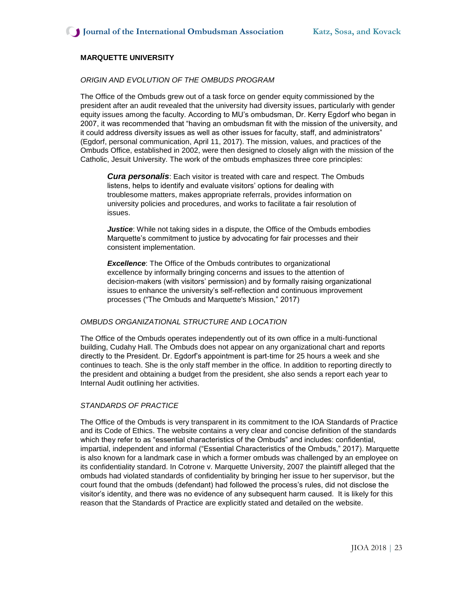## **MARQUETTE UNIVERSITY**

#### *ORIGIN AND EVOLUTION OF THE OMBUDS PROGRAM*

The Office of the Ombuds grew out of a task force on gender equity commissioned by the president after an audit revealed that the university had diversity issues, particularly with gender equity issues among the faculty. According to MU's ombudsman, Dr. Kerry Egdorf who began in 2007, it was recommended that "having an ombudsman fit with the mission of the university, and it could address diversity issues as well as other issues for faculty, staff, and administrators" (Egdorf, personal communication, April 11, 2017). The mission, values, and practices of the Ombuds Office, established in 2002, were then designed to closely align with the mission of the Catholic, Jesuit University. The work of the ombuds emphasizes three core principles:

*Cura personalis*: Each visitor is treated with care and respect. The Ombuds listens, helps to identify and evaluate visitors' options for dealing with troublesome matters, makes appropriate referrals, provides information on university policies and procedures, and works to facilitate a fair resolution of issues.

*Justice*: While not taking sides in a dispute, the Office of the Ombuds embodies Marquette's commitment to justice by advocating for fair processes and their consistent implementation.

**Excellence:** The Office of the Ombuds contributes to organizational excellence by informally bringing concerns and issues to the attention of decision-makers (with visitors' permission) and by formally raising organizational issues to enhance the university's self-reflection and continuous improvement processes ("The Ombuds and Marquette's Mission," 2017)

#### *OMBUDS ORGANIZATIONAL STRUCTURE AND LOCATION*

The Office of the Ombuds operates independently out of its own office in a multi-functional building, Cudahy Hall. The Ombuds does not appear on any organizational chart and reports directly to the President. Dr. Egdorf's appointment is part-time for 25 hours a week and she continues to teach. She is the only staff member in the office. In addition to reporting directly to the president and obtaining a budget from the president, she also sends a report each year to Internal Audit outlining her activities.

#### *STANDARDS OF PRACTICE*

The Office of the Ombuds is very transparent in its commitment to the IOA Standards of Practice and its Code of Ethics. The website contains a very clear and concise definition of the standards which they refer to as "essential characteristics of the Ombuds" and includes: confidential, impartial, independent and informal ("Essential Characteristics of the Ombuds," 2017). Marquette is also known for a landmark case in which a former ombuds was challenged by an employee on its confidentiality standard. In Cotrone v. Marquette University, 2007 the plaintiff alleged that the ombuds had violated standards of confidentiality by bringing her issue to her supervisor, but the court found that the ombuds (defendant) had followed the process's rules, did not disclose the visitor's identity, and there was no evidence of any subsequent harm caused. It is likely for this reason that the Standards of Practice are explicitly stated and detailed on the website.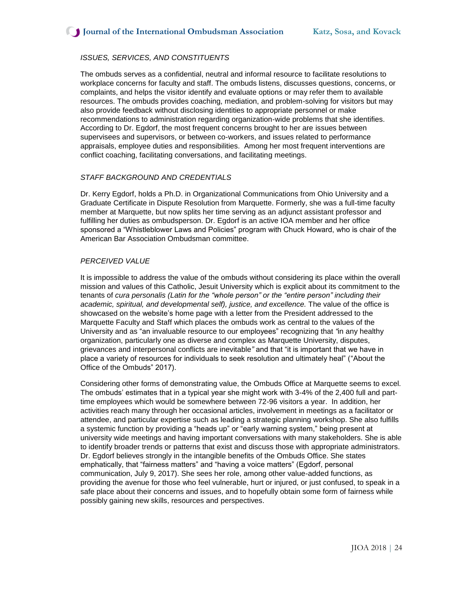## *ISSUES, SERVICES, AND CONSTITUENTS*

The ombuds serves as a confidential, neutral and informal resource to facilitate resolutions to workplace concerns for faculty and staff. The ombuds listens, discusses questions, concerns, or complaints, and helps the visitor identify and evaluate options or may refer them to available resources. The ombuds provides coaching, mediation, and problem-solving for visitors but may also provide feedback without disclosing identities to appropriate personnel or make recommendations to administration regarding organization-wide problems that she identifies. According to Dr. Egdorf, the most frequent concerns brought to her are issues between supervisees and supervisors, or between co-workers, and issues related to performance appraisals, employee duties and responsibilities. Among her most frequent interventions are conflict coaching, facilitating conversations, and facilitating meetings.

#### *STAFF BACKGROUND AND CREDENTIALS*

Dr. Kerry Egdorf, holds a Ph.D. in Organizational Communications from Ohio University and a Graduate Certificate in Dispute Resolution from Marquette. Formerly, she was a full-time faculty member at Marquette, but now splits her time serving as an adjunct assistant professor and fulfilling her duties as ombudsperson. Dr. Egdorf is an active IOA member and her office sponsored a "Whistleblower Laws and Policies" program with Chuck Howard, who is chair of the American Bar Association Ombudsman committee.

#### *PERCEIVED VALUE*

It is impossible to address the value of the ombuds without considering its place within the overall mission and values of this Catholic, Jesuit University which is explicit about its commitment to the tenants of *cura personalis (Latin for the "whole person" or the "entire person" including their academic, spiritual, and developmental self), justice, and excellence.* The value of the office is showcased on the website's home page with a letter from the President addressed to the Marquette Faculty and Staff which places the ombuds work as central to the values of the University and as "an invaluable resource to our employees" recognizing that *"*in any healthy organization, particularly one as diverse and complex as Marquette University, disputes, grievances and interpersonal conflicts are inevitable*"* and that "it is important that we have in place a variety of resources for individuals to seek resolution and ultimately heal" ("About the Office of the Ombuds" 2017).

Considering other forms of demonstrating value, the Ombuds Office at Marquette seems to excel. The ombuds' estimates that in a typical year she might work with 3-4% of the 2,400 full and parttime employees which would be somewhere between 72-96 visitors a year. In addition, her activities reach many through her occasional articles, involvement in meetings as a facilitator or attendee, and particular expertise such as leading a strategic planning workshop. She also fulfills a systemic function by providing a "heads up" or "early warning system," being present at university wide meetings and having important conversations with many stakeholders. She is able to identify broader trends or patterns that exist and discuss those with appropriate administrators. Dr. Egdorf believes strongly in the intangible benefits of the Ombuds Office. She states emphatically, that "fairness matters" and "having a voice matters" (Egdorf, personal communication, July 9, 2017). She sees her role, among other value-added functions, as providing the avenue for those who feel vulnerable, hurt or injured, or just confused, to speak in a safe place about their concerns and issues, and to hopefully obtain some form of fairness while possibly gaining new skills, resources and perspectives.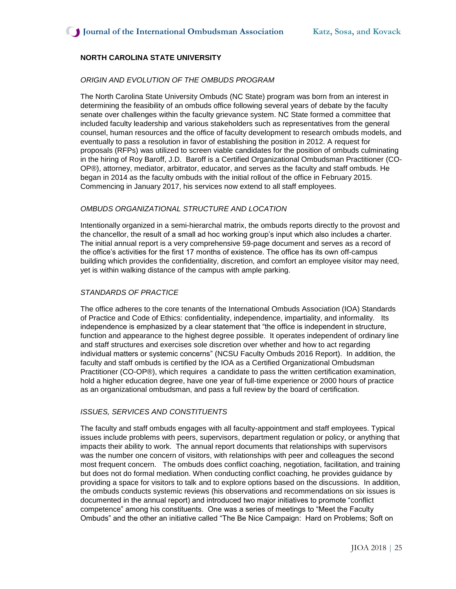## **NORTH CAROLINA STATE UNIVERSITY**

#### *ORIGIN AND EVOLUTION OF THE OMBUDS PROGRAM*

The North Carolina State University Ombuds (NC State) program was born from an interest in determining the feasibility of an ombuds office following several years of debate by the faculty senate over challenges within the faculty grievance system. NC State formed a committee that included faculty leadership and various stakeholders such as representatives from the general counsel, human resources and the office of faculty development to research ombuds models, and eventually to pass a resolution in favor of establishing the position in 2012. A request for proposals (RFPs) was utilized to screen viable candidates for the position of ombuds culminating in the hiring of Roy Baroff, J.D. Baroff is a Certified Organizational Ombudsman Practitioner (CO-OP®), attorney, mediator, arbitrator, educator, and serves as the faculty and staff ombuds. He began in 2014 as the faculty ombuds with the initial rollout of the office in February 2015. Commencing in January 2017, his services now extend to all staff employees.

#### *OMBUDS ORGANIZATIONAL STRUCTURE AND LOCATION*

Intentionally organized in a semi-hierarchal matrix, the ombuds reports directly to the provost and the chancellor, the result of a small ad hoc working group's input which also includes a charter. The initial annual report is a very comprehensive 59-page document and serves as a record of the office's activities for the first 17 months of existence. The office has its own off-campus building which provides the confidentiality, discretion, and comfort an employee visitor may need, yet is within walking distance of the campus with ample parking.

## *STANDARDS OF PRACTICE*

The office adheres to the core tenants of the International Ombuds Association (IOA) Standards of Practice and Code of Ethics: confidentiality, independence, impartiality, and informality. Its independence is emphasized by a clear statement that "the office is independent in structure, function and appearance to the highest degree possible. It operates independent of ordinary line and staff structures and exercises sole discretion over whether and how to act regarding individual matters or systemic concerns" (NCSU Faculty Ombuds 2016 Report). In addition, the faculty and staff ombuds is certified by the IOA as a Certified Organizational Ombudsman Practitioner (CO-OP®), which requires a candidate to pass the written certification examination, hold a higher education degree, have one year of full-time experience or 2000 hours of practice as an organizational ombudsman, and pass a full review by the board of certification.

#### *ISSUES, SERVICES AND CONSTITUENTS*

The faculty and staff ombuds engages with all faculty-appointment and staff employees. Typical issues include problems with peers, supervisors, department regulation or policy, or anything that impacts their ability to work. The annual report documents that relationships with supervisors was the number one concern of visitors, with relationships with peer and colleagues the second most frequent concern. The ombuds does conflict coaching, negotiation, facilitation, and training but does not do formal mediation. When conducting conflict coaching, he provides guidance by providing a space for visitors to talk and to explore options based on the discussions. In addition, the ombuds conducts systemic reviews (his observations and recommendations on six issues is documented in the annual report) and introduced two major initiatives to promote "conflict competence" among his constituents. One was a series of meetings to "Meet the Faculty Ombuds" and the other an initiative called "The Be Nice Campaign: Hard on Problems; Soft on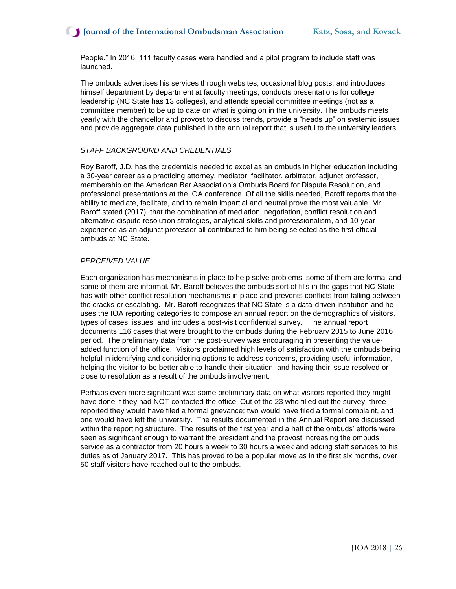People." In 2016, 111 faculty cases were handled and a pilot program to include staff was launched.

The ombuds advertises his services through websites, occasional blog posts, and introduces himself department by department at faculty meetings, conducts presentations for college leadership (NC State has 13 colleges), and attends special committee meetings (not as a committee member) to be up to date on what is going on in the university. The ombuds meets yearly with the chancellor and provost to discuss trends, provide a "heads up" on systemic issues and provide aggregate data published in the annual report that is useful to the university leaders.

#### *STAFF BACKGROUND AND CREDENTIALS*

Roy Baroff, J.D. has the credentials needed to excel as an ombuds in higher education including a 30-year career as a practicing attorney, mediator, facilitator, arbitrator, adjunct professor, membership on the American Bar Association's Ombuds Board for Dispute Resolution, and professional presentations at the IOA conference. Of all the skills needed, Baroff reports that the ability to mediate, facilitate, and to remain impartial and neutral prove the most valuable. Mr. Baroff stated (2017), that the combination of mediation, negotiation, conflict resolution and alternative dispute resolution strategies, analytical skills and professionalism, and 10-year experience as an adjunct professor all contributed to him being selected as the first official ombuds at NC State.

#### *PERCEIVED VALUE*

Each organization has mechanisms in place to help solve problems, some of them are formal and some of them are informal. Mr. Baroff believes the ombuds sort of fills in the gaps that NC State has with other conflict resolution mechanisms in place and prevents conflicts from falling between the cracks or escalating. Mr. Baroff recognizes that NC State is a data-driven institution and he uses the IOA reporting categories to compose an annual report on the demographics of visitors, types of cases, issues, and includes a post-visit confidential survey. The annual report documents 116 cases that were brought to the ombuds during the February 2015 to June 2016 period. The preliminary data from the post-survey was encouraging in presenting the valueadded function of the office. Visitors proclaimed high levels of satisfaction with the ombuds being helpful in identifying and considering options to address concerns, providing useful information, helping the visitor to be better able to handle their situation, and having their issue resolved or close to resolution as a result of the ombuds involvement.

Perhaps even more significant was some preliminary data on what visitors reported they might have done if they had NOT contacted the office. Out of the 23 who filled out the survey, three reported they would have filed a formal grievance; two would have filed a formal complaint, and one would have left the university. The results documented in the Annual Report are discussed within the reporting structure. The results of the first year and a half of the ombuds' efforts were seen as significant enough to warrant the president and the provost increasing the ombuds service as a contractor from 20 hours a week to 30 hours a week and adding staff services to his duties as of January 2017. This has proved to be a popular move as in the first six months, over 50 staff visitors have reached out to the ombuds.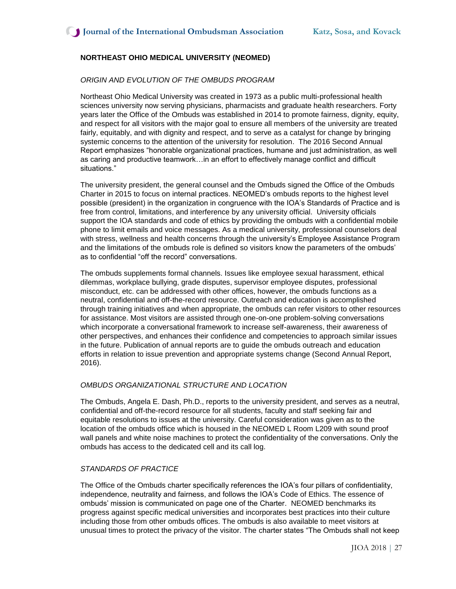## **NORTHEAST OHIO MEDICAL UNIVERSITY (NEOMED)**

#### *ORIGIN AND EVOLUTION OF THE OMBUDS PROGRAM*

Northeast Ohio Medical University was created in 1973 as a public multi-professional health sciences university now serving physicians, pharmacists and graduate health researchers. Forty years later the Office of the Ombuds was established in 2014 to promote fairness, dignity, equity, and respect for all visitors with the major goal to ensure all members of the university are treated fairly, equitably, and with dignity and respect, and to serve as a catalyst for change by bringing systemic concerns to the attention of the university for resolution. The 2016 Second Annual Report emphasizes "honorable organizational practices, humane and just administration, as well as caring and productive teamwork…in an effort to effectively manage conflict and difficult situations."

The university president, the general counsel and the Ombuds signed the Office of the Ombuds Charter in 2015 to focus on internal practices. NEOMED's ombuds reports to the highest level possible (president) in the organization in congruence with the IOA's Standards of Practice and is free from control, limitations, and interference by any university official. University officials support the IOA standards and code of ethics by providing the ombuds with a confidential mobile phone to limit emails and voice messages. As a medical university, professional counselors deal with stress, wellness and health concerns through the university's Employee Assistance Program and the limitations of the ombuds role is defined so visitors know the parameters of the ombuds' as to confidential "off the record" conversations.

The ombuds supplements formal channels. Issues like employee sexual harassment, ethical dilemmas, workplace bullying, grade disputes, supervisor employee disputes, professional misconduct, etc. can be addressed with other offices, however, the ombuds functions as a neutral, confidential and off-the-record resource. Outreach and education is accomplished through training initiatives and when appropriate, the ombuds can refer visitors to other resources for assistance. Most visitors are assisted through one-on-one problem-solving conversations which incorporate a conversational framework to increase self-awareness, their awareness of other perspectives, and enhances their confidence and competencies to approach similar issues in the future. Publication of annual reports are to guide the ombuds outreach and education efforts in relation to issue prevention and appropriate systems change (Second Annual Report, 2016).

#### *OMBUDS ORGANIZATIONAL STRUCTURE AND LOCATION*

The Ombuds, Angela E. Dash, Ph.D., reports to the university president, and serves as a neutral, confidential and off-the-record resource for all students, faculty and staff seeking fair and equitable resolutions to issues at the university. Careful consideration was given as to the location of the ombuds office which is housed in the NEOMED L Room L209 with sound proof wall panels and white noise machines to protect the confidentiality of the conversations. Only the ombuds has access to the dedicated cell and its call log.

#### *STANDARDS OF PRACTICE*

The Office of the Ombuds charter specifically references the IOA's four pillars of confidentiality, independence, neutrality and fairness, and follows the IOA's Code of Ethics. The essence of ombuds' mission is communicated on page one of the Charter. NEOMED benchmarks its progress against specific medical universities and incorporates best practices into their culture including those from other ombuds offices. The ombuds is also available to meet visitors at unusual times to protect the privacy of the visitor. The charter states "The Ombuds shall not keep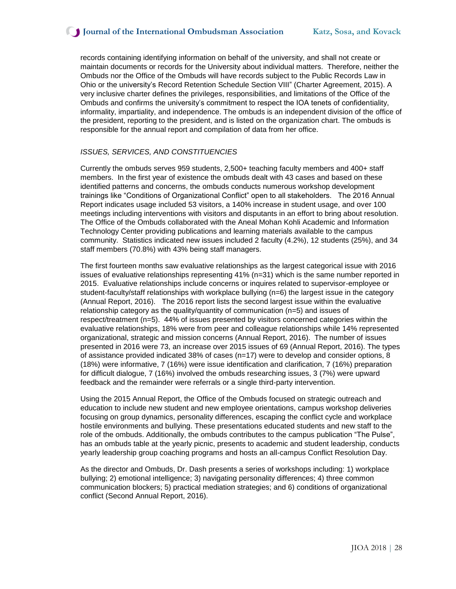records containing identifying information on behalf of the university, and shall not create or maintain documents or records for the University about individual matters. Therefore, neither the Ombuds nor the Office of the Ombuds will have records subject to the Public Records Law in Ohio or the university's Record Retention Schedule Section VIII" (Charter Agreement, 2015). A very inclusive charter defines the privileges, responsibilities, and limitations of the Office of the Ombuds and confirms the university's commitment to respect the IOA tenets of confidentiality, informality, impartiality, and independence. The ombuds is an independent division of the office of the president, reporting to the president, and is listed on the organization chart. The ombuds is responsible for the annual report and compilation of data from her office.

#### *ISSUES, SERVICES, AND CONSTITUENCIES*

Currently the ombuds serves 959 students, 2,500+ teaching faculty members and 400+ staff members. In the first year of existence the ombuds dealt with 43 cases and based on these identified patterns and concerns, the ombuds conducts numerous workshop development trainings like "Conditions of Organizational Conflict" open to all stakeholders. The 2016 Annual Report indicates usage included 53 visitors, a 140% increase in student usage, and over 100 meetings including interventions with visitors and disputants in an effort to bring about resolution. The Office of the Ombuds collaborated with the Aneal Mohan Kohli Academic and Information Technology Center providing publications and learning materials available to the campus community. Statistics indicated new issues included 2 faculty (4.2%), 12 students (25%), and 34 staff members (70.8%) with 43% being staff managers.

The first fourteen months saw evaluative relationships as the largest categorical issue with 2016 issues of evaluative relationships representing  $41\%$  (n=31) which is the same number reported in 2015. Evaluative relationships include concerns or inquires related to supervisor-employee or student-faculty/staff relationships with workplace bullying (n=6) the largest issue in the category (Annual Report, 2016). The 2016 report lists the second largest issue within the evaluative relationship category as the quality/quantity of communication (n=5) and issues of respect/treatment (n=5). 44% of issues presented by visitors concerned categories within the evaluative relationships, 18% were from peer and colleague relationships while 14% represented organizational, strategic and mission concerns (Annual Report, 2016). The number of issues presented in 2016 were 73, an increase over 2015 issues of 69 (Annual Report, 2016). The types of assistance provided indicated 38% of cases ( $n=17$ ) were to develop and consider options, 8 (18%) were informative, 7 (16%) were issue identification and clarification, 7 (16%) preparation for difficult dialogue, 7 (16%) involved the ombuds researching issues, 3 (7%) were upward feedback and the remainder were referrals or a single third-party intervention.

Using the 2015 Annual Report, the Office of the Ombuds focused on strategic outreach and education to include new student and new employee orientations, campus workshop deliveries focusing on group dynamics, personality differences, escaping the conflict cycle and workplace hostile environments and bullying. These presentations educated students and new staff to the role of the ombuds. Additionally, the ombuds contributes to the campus publication "The Pulse", has an ombuds table at the yearly picnic, presents to academic and student leadership, conducts yearly leadership group coaching programs and hosts an all-campus Conflict Resolution Day.

As the director and Ombuds, Dr. Dash presents a series of workshops including: 1) workplace bullying; 2) emotional intelligence; 3) navigating personality differences; 4) three common communication blockers; 5) practical mediation strategies; and 6) conditions of organizational conflict (Second Annual Report, 2016).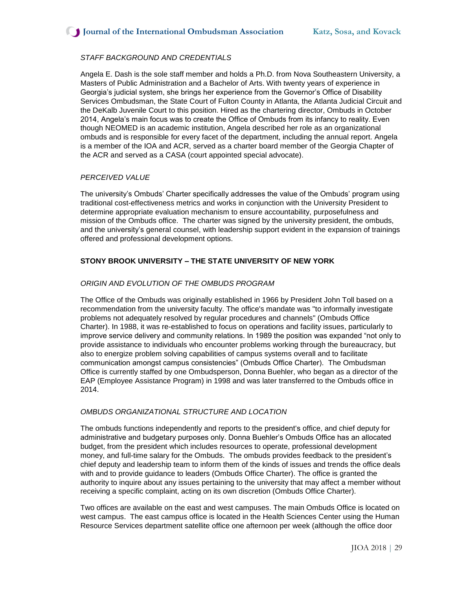## *STAFF BACKGROUND AND CREDENTIALS*

Angela E. Dash is the sole staff member and holds a Ph.D. from Nova Southeastern University, a Masters of Public Administration and a Bachelor of Arts. With twenty years of experience in Georgia's judicial system, she brings her experience from the Governor's Office of Disability Services Ombudsman, the State Court of Fulton County in Atlanta, the Atlanta Judicial Circuit and the DeKalb Juvenile Court to this position. Hired as the chartering director, Ombuds in October 2014, Angela's main focus was to create the Office of Ombuds from its infancy to reality. Even though NEOMED is an academic institution, Angela described her role as an organizational ombuds and is responsible for every facet of the department, including the annual report. Angela is a member of the IOA and ACR, served as a charter board member of the Georgia Chapter of the ACR and served as a CASA (court appointed special advocate).

#### *PERCEIVED VALUE*

The university's Ombuds' Charter specifically addresses the value of the Ombuds' program using traditional cost-effectiveness metrics and works in conjunction with the University President to determine appropriate evaluation mechanism to ensure accountability, purposefulness and mission of the Ombuds office. The charter was signed by the university president, the ombuds, and the university's general counsel, with leadership support evident in the expansion of trainings offered and professional development options.

## **STONY BROOK UNIVERSITY – THE STATE UNIVERSITY OF NEW YORK**

#### *ORIGIN AND EVOLUTION OF THE OMBUDS PROGRAM*

The Office of the Ombuds was originally established in 1966 by President John Toll based on a recommendation from the university faculty. The office's mandate was "to informally investigate problems not adequately resolved by regular procedures and channels" (Ombuds Office Charter). In 1988, it was re-established to focus on operations and facility issues, particularly to improve service delivery and community relations. In 1989 the position was expanded "not only to provide assistance to individuals who encounter problems working through the bureaucracy, but also to energize problem solving capabilities of campus systems overall and to facilitate communication amongst campus consistencies" (Ombuds Office Charter). The Ombudsman Office is currently staffed by one Ombudsperson, Donna Buehler, who began as a director of the EAP (Employee Assistance Program) in 1998 and was later transferred to the Ombuds office in 2014.

#### *OMBUDS ORGANIZATIONAL STRUCTURE AND LOCATION*

The ombuds functions independently and reports to the president's office, and chief deputy for administrative and budgetary purposes only. Donna Buehler's Ombuds Office has an allocated budget, from the president which includes resources to operate, professional development money, and full-time salary for the Ombuds. The ombuds provides feedback to the president's chief deputy and leadership team to inform them of the kinds of issues and trends the office deals with and to provide guidance to leaders (Ombuds Office Charter). The office is granted the authority to inquire about any issues pertaining to the university that may affect a member without receiving a specific complaint, acting on its own discretion (Ombuds Office Charter).

Two offices are available on the east and west campuses. The main Ombuds Office is located on west campus. The east campus office is located in the Health Sciences Center using the Human Resource Services department satellite office one afternoon per week (although the office door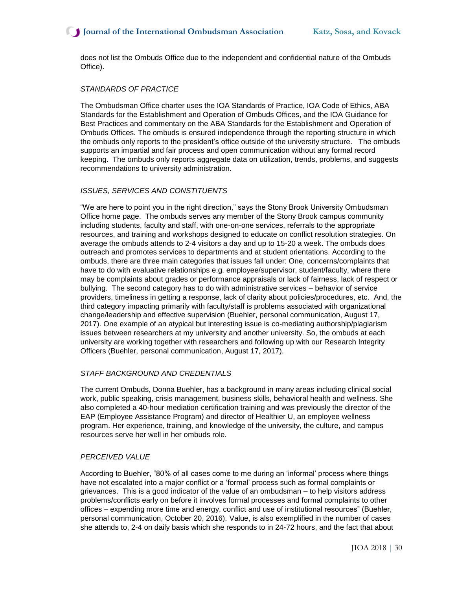does not list the Ombuds Office due to the independent and confidential nature of the Ombuds Office).

#### *STANDARDS OF PRACTICE*

The Ombudsman Office charter uses the IOA Standards of Practice, IOA Code of Ethics, ABA Standards for the Establishment and Operation of Ombuds Offices, and the IOA Guidance for Best Practices and commentary on the ABA Standards for the Establishment and Operation of Ombuds Offices. The ombuds is ensured independence through the reporting structure in which the ombuds only reports to the president's office outside of the university structure. The ombuds supports an impartial and fair process and open communication without any formal record keeping. The ombuds only reports aggregate data on utilization, trends, problems, and suggests recommendations to university administration.

#### *ISSUES, SERVICES AND CONSTITUENTS*

"We are here to point you in the right direction," says the Stony Brook University Ombudsman Office home page. The ombuds serves any member of the Stony Brook campus community including students, faculty and staff, with one-on-one services, referrals to the appropriate resources, and training and workshops designed to educate on conflict resolution strategies. On average the ombuds attends to 2-4 visitors a day and up to 15-20 a week. The ombuds does outreach and promotes services to departments and at student orientations. According to the ombuds, there are three main categories that issues fall under: One, concerns/complaints that have to do with evaluative relationships e.g. employee/supervisor, student/faculty, where there may be complaints about grades or performance appraisals or lack of fairness, lack of respect or bullying. The second category has to do with administrative services – behavior of service providers, timeliness in getting a response, lack of clarity about policies/procedures, etc. And, the third category impacting primarily with faculty/staff is problems associated with organizational change/leadership and effective supervision (Buehler, personal communication, August 17, 2017). One example of an atypical but interesting issue is co-mediating authorship/plagiarism issues between researchers at my university and another university. So, the ombuds at each university are working together with researchers and following up with our Research Integrity Officers (Buehler, personal communication, August 17, 2017).

#### *STAFF BACKGROUND AND CREDENTIALS*

The current Ombuds, Donna Buehler, has a background in many areas including clinical social work, public speaking, crisis management, business skills, behavioral health and wellness. She also completed a 40-hour mediation certification training and was previously the director of the EAP (Employee Assistance Program) and director of Healthier U, an employee wellness program. Her experience, training, and knowledge of the university, the culture, and campus resources serve her well in her ombuds role.

#### *PERCEIVED VALUE*

According to Buehler, "80% of all cases come to me during an 'informal' process where things have not escalated into a major conflict or a 'formal' process such as formal complaints or grievances. This is a good indicator of the value of an ombudsman – to help visitors address problems/conflicts early on before it involves formal processes and formal complaints to other offices – expending more time and energy, conflict and use of institutional resources" (Buehler, personal communication, October 20, 2016). Value, is also exemplified in the number of cases she attends to, 2-4 on daily basis which she responds to in 24-72 hours, and the fact that about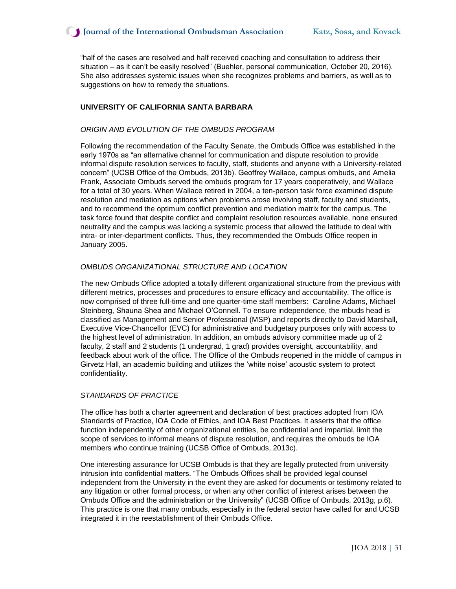"half of the cases are resolved and half received coaching and consultation to address their situation – as it can't be easily resolved" (Buehler, personal communication, October 20, 2016). She also addresses systemic issues when she recognizes problems and barriers, as well as to suggestions on how to remedy the situations.

#### **UNIVERSITY OF CALIFORNIA SANTA BARBARA**

#### *ORIGIN AND EVOLUTION OF THE OMBUDS PROGRAM*

Following the recommendation of the Faculty Senate, the Ombuds Office was established in the early 1970s as "an alternative channel for communication and dispute resolution to provide informal dispute resolution services to faculty, staff, students and anyone with a University-related concern" (UCSB Office of the Ombuds, 2013b). Geoffrey Wallace, campus ombuds, and Amelia Frank, Associate Ombuds served the ombuds program for 17 years cooperatively, and Wallace for a total of 30 years. When Wallace retired in 2004, a ten-person task force examined dispute resolution and mediation as options when problems arose involving staff, faculty and students, and to recommend the optimum conflict prevention and mediation matrix for the campus. The task force found that despite conflict and complaint resolution resources available, none ensured neutrality and the campus was lacking a systemic process that allowed the latitude to deal with intra- or inter-department conflicts. Thus, they recommended the Ombuds Office reopen in January 2005.

#### *OMBUDS ORGANIZATIONAL STRUCTURE AND LOCATION*

The new Ombuds Office adopted a totally different organizational structure from the previous with different metrics, processes and procedures to ensure efficacy and accountability. The office is now comprised of three full-time and one quarter-time staff members: Caroline Adams, Michael Steinberg, Shauna Shea and Michael O'Connell. To ensure independence, the mbuds head is classified as Management and Senior Professional (MSP) and reports directly to David Marshall, Executive Vice-Chancellor (EVC) for administrative and budgetary purposes only with access to the highest level of administration. In addition, an ombuds advisory committee made up of 2 faculty, 2 staff and 2 students (1 undergrad, 1 grad) provides oversight, accountability, and feedback about work of the office. The Office of the Ombuds reopened in the middle of campus in Girvetz Hall, an academic building and utilizes the 'white noise' acoustic system to protect confidentiality.

#### *STANDARDS OF PRACTICE*

The office has both a charter agreement and declaration of best practices adopted from IOA Standards of Practice, IOA Code of Ethics, and IOA Best Practices. It asserts that the office function independently of other organizational entities, be confidential and impartial, limit the scope of services to informal means of dispute resolution, and requires the ombuds be IOA members who continue training (UCSB Office of Ombuds, 2013c).

One interesting assurance for UCSB Ombuds is that they are legally protected from university intrusion into confidential matters. "The Ombuds Offices shall be provided legal counsel independent from the University in the event they are asked for documents or testimony related to any litigation or other formal process, or when any other conflict of interest arises between the Ombuds Office and the administration or the University" (UCSB Office of Ombuds, 2013g, p.6). This practice is one that many ombuds, especially in the federal sector have called for and UCSB integrated it in the reestablishment of their Ombuds Office.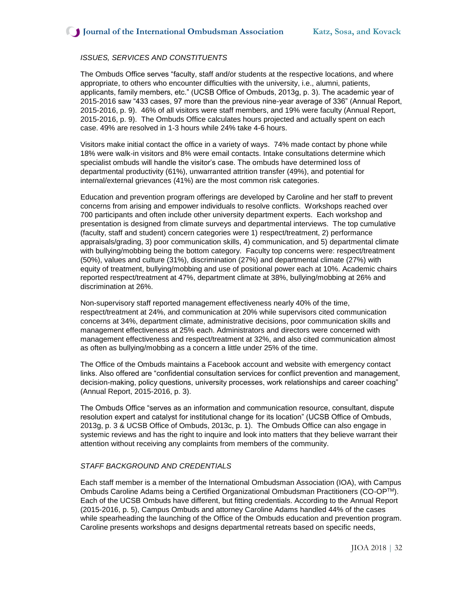## *ISSUES, SERVICES AND CONSTITUENTS*

The Ombuds Office serves "faculty, staff and/or students at the respective locations, and where appropriate, to others who encounter difficulties with the university, i.e., alumni, patients, applicants, family members, etc." (UCSB Office of Ombuds, 2013g, p. 3). The academic year of 2015-2016 saw "433 cases, 97 more than the previous nine-year average of 336" (Annual Report, 2015-2016, p. 9). 46% of all visitors were staff members, and 19% were faculty (Annual Report, 2015-2016, p. 9). The Ombuds Office calculates hours projected and actually spent on each case. 49% are resolved in 1-3 hours while 24% take 4-6 hours.

Visitors make initial contact the office in a variety of ways. 74% made contact by phone while 18% were walk-in visitors and 8% were email contacts. Intake consultations determine which specialist ombuds will handle the visitor's case. The ombuds have determined loss of departmental productivity (61%), unwarranted attrition transfer (49%), and potential for internal/external grievances (41%) are the most common risk categories.

Education and prevention program offerings are developed by Caroline and her staff to prevent concerns from arising and empower individuals to resolve conflicts. Workshops reached over 700 participants and often include other university department experts. Each workshop and presentation is designed from climate surveys and departmental interviews. The top cumulative (faculty, staff and student) concern categories were 1) respect/treatment, 2) performance appraisals/grading, 3) poor communication skills, 4) communication, and 5) departmental climate with bullying/mobbing being the bottom category. Faculty top concerns were: respect/treatment (50%), values and culture (31%), discrimination (27%) and departmental climate (27%) with equity of treatment, bullying/mobbing and use of positional power each at 10%. Academic chairs reported respect/treatment at 47%, department climate at 38%, bullying/mobbing at 26% and discrimination at 26%.

Non-supervisory staff reported management effectiveness nearly 40% of the time, respect/treatment at 24%, and communication at 20% while supervisors cited communication concerns at 34%, department climate, administrative decisions, poor communication skills and management effectiveness at 25% each. Administrators and directors were concerned with management effectiveness and respect/treatment at 32%, and also cited communication almost as often as bullying/mobbing as a concern a little under 25% of the time.

The Office of the Ombuds maintains a Facebook account and website with emergency contact links. Also offered are "confidential consultation services for conflict prevention and management, decision-making, policy questions, university processes, work relationships and career coaching" (Annual Report, 2015-2016, p. 3).

The Ombuds Office "serves as an information and communication resource, consultant, dispute resolution expert and catalyst for institutional change for its location" (UCSB Office of Ombuds, 2013g, p. 3 & UCSB Office of Ombuds, 2013c, p. 1). The Ombuds Office can also engage in systemic reviews and has the right to inquire and look into matters that they believe warrant their attention without receiving any complaints from members of the community.

## *STAFF BACKGROUND AND CREDENTIALS*

Each staff member is a member of the International Ombudsman Association (IOA), with Campus Ombuds Caroline Adams being a Certified Organizational Ombudsman Practitioners (CO-OPTM). Each of the UCSB Ombuds have different, but fitting credentials. According to the Annual Report (2015-2016, p. 5), Campus Ombuds and attorney Caroline Adams handled 44% of the cases while spearheading the launching of the Office of the Ombuds education and prevention program. Caroline presents workshops and designs departmental retreats based on specific needs,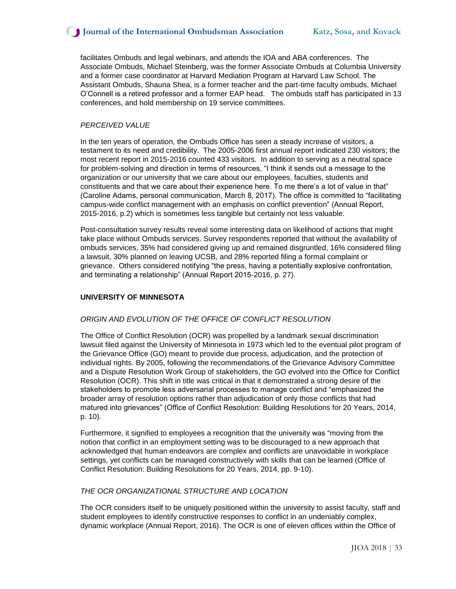## **J** Journal of the International Ombudsman Association Katz, Sosa, and Kovack

facilitates Ombuds and legal webinars, and attends the IOA and ABA conferences. The Associate Ombuds, Michael Steinberg, was the former Associate Ombuds at Columbia University and a former case coordinator at Harvard Mediation Program at Harvard Law School. The Assistant Ombuds, Shauna Shea, is a former teacher and the part-time faculty ombuds, Michael O'Connell is a retired professor and a former EAP head. The ombuds staff has participated in 13 conferences, and hold membership on 19 service committees.

#### *PERCEIVED VALUE*

In the ten years of operation, the Ombuds Office has seen a steady increase of visitors, a testament to its need and credibility. The 2005-2006 first annual report indicated 230 visitors; the most recent report in 2015-2016 counted 433 visitors. In addition to serving as a neutral space for problem-solving and direction in terms of resources, "I think it sends out a message to the organization or our university that we care about our employees, faculties, students and constituents and that we care about their experience here. To me there's a lot of value in that" (Caroline Adams, personal communication, March 8, 2017). The office is committed to "facilitating campus-wide conflict management with an emphasis on conflict prevention" (Annual Report, 2015-2016, p.2) which is sometimes less tangible but certainly not less valuable.

Post-consultation survey results reveal some interesting data on likelihood of actions that might take place without Ombuds services. Survey respondents reported that without the availability of ombuds services, 35% had considered giving up and remained disgruntled, 16% considered filing a lawsuit, 30% planned on leaving UCSB, and 28% reported filing a formal complaint or grievance. Others considered notifying "the press, having a potentially explosive confrontation, and terminating a relationship" (Annual Report 2015-2016, p. 27).

#### **UNIVERSITY OF MINNESOTA**

#### *ORIGIN AND EVOLUTION OF THE OFFICE OF CONFLICT RESOLUTION*

The Office of Conflict Resolution (OCR) was propelled by a landmark sexual discrimination lawsuit filed against the University of Minnesota in 1973 which led to the eventual pilot program of the Grievance Office (GO) meant to provide due process, adjudication, and the protection of individual rights. By 2005, following the recommendations of the Grievance Advisory Committee and a Dispute Resolution Work Group of stakeholders, the GO evolved into the Office for Conflict Resolution (OCR). This shift in title was critical in that it demonstrated a strong desire of the stakeholders to promote less adversarial processes to manage conflict and "emphasized the broader array of resolution options rather than adjudication of only those conflicts that had matured into grievances" (Office of Conflict Resolution: Building Resolutions for 20 Years, 2014, p. 10).

Furthermore, it signified to employees a recognition that the university was "moving from the notion that conflict in an employment setting was to be discouraged to a new approach that acknowledged that human endeavors are complex and conflicts are unavoidable in workplace settings, yet conflicts can be managed constructively with skills that can be learned (Office of Conflict Resolution: Building Resolutions for 20 Years, 2014, pp. 9-10).

#### *THE OCR ORGANIZATIONAL STRUCTURE AND LOCATION*

The OCR considers itself to be uniquely positioned within the university to assist faculty, staff and student employees to identify constructive responses to conflict in an undeniably complex, dynamic workplace (Annual Report, 2016). The OCR is one of eleven offices within the Office of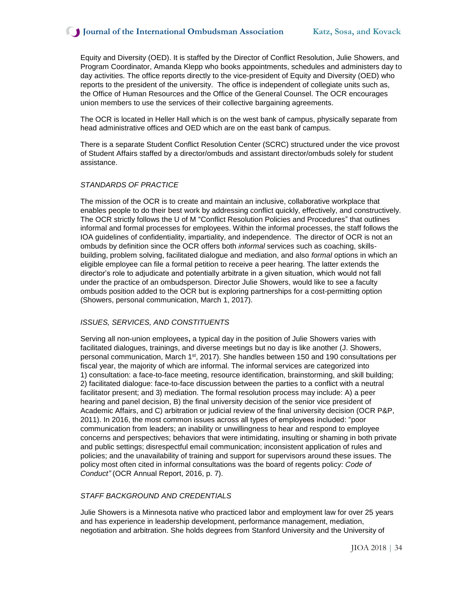Equity and Diversity (OED). It is staffed by the Director of Conflict Resolution, Julie Showers, and Program Coordinator, Amanda Klepp who books appointments, schedules and administers day to day activities. The office reports directly to the vice-president of Equity and Diversity (OED) who reports to the president of the university. The office is independent of collegiate units such as, the Office of Human Resources and the Office of the General Counsel. The OCR encourages union members to use the services of their collective bargaining agreements.

The OCR is located in Heller Hall which is on the west bank of campus, physically separate from head administrative offices and OED which are on the east bank of campus.

There is a separate Student Conflict Resolution Center (SCRC) structured under the vice provost of Student Affairs staffed by a director/ombuds and assistant director/ombuds solely for student assistance.

#### *STANDARDS OF PRACTICE*

The mission of the OCR is to create and maintain an inclusive, collaborative workplace that enables people to do their best work by addressing conflict quickly, effectively, and constructively. The OCR strictly follows the U of M "Conflict Resolution Policies and Procedures" that outlines informal and formal processes for employees. Within the informal processes, the staff follows the IOA guidelines of confidentiality, impartiality, and independence. The director of OCR is not an ombuds by definition since the OCR offers both *informal* services such as coaching, skillsbuilding, problem solving, facilitated dialogue and mediation, and also *formal* options in which an eligible employee can file a formal petition to receive a peer hearing. The latter extends the director's role to adjudicate and potentially arbitrate in a given situation, which would not fall under the practice of an ombudsperson. Director Julie Showers, would like to see a faculty ombuds position added to the OCR but is exploring partnerships for a cost-permitting option (Showers, personal communication, March 1, 2017).

#### *ISSUES, SERVICES, AND CONSTITUENTS*

Serving all non-union employees**,** a typical day in the position of Julie Showers varies with facilitated dialogues, trainings, and diverse meetings but no day is like another (J. Showers, personal communication, March 1st, 2017). She handles between 150 and 190 consultations per fiscal year, the majority of which are informal. The informal services are categorized into 1) consultation: a face-to-face meeting, resource identification, brainstorming, and skill building; 2) facilitated dialogue: face-to-face discussion between the parties to a conflict with a neutral facilitator present; and 3) mediation. The formal resolution process may include: A) a peer hearing and panel decision, B) the final university decision of the senior vice president of Academic Affairs, and C) arbitration or judicial review of the final university decision (OCR P&P, 2011). In 2016, the most common issues across all types of employees included: "poor communication from leaders; an inability or unwillingness to hear and respond to employee concerns and perspectives; behaviors that were intimidating, insulting or shaming in both private and public settings; disrespectful email communication; inconsistent application of rules and policies; and the unavailability of training and support for supervisors around these issues. The policy most often cited in informal consultations was the board of regents policy: *Code of Conduct"* (OCR Annual Report, 2016, p. 7).

#### *STAFF BACKGROUND AND CREDENTIALS*

Julie Showers is a Minnesota native who practiced labor and employment law for over 25 years and has experience in leadership development, performance management, mediation, negotiation and arbitration. She holds degrees from Stanford University and the University of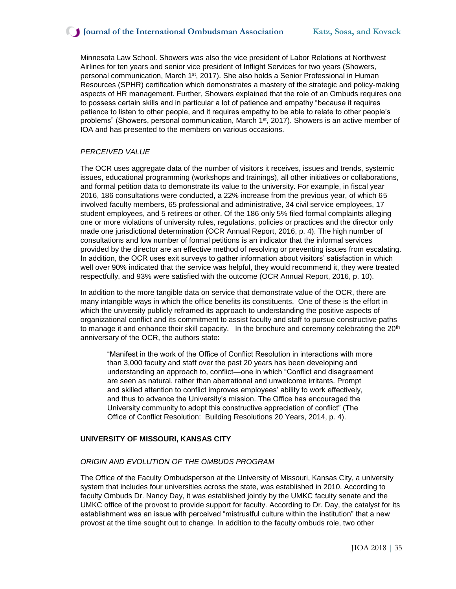## **J** Journal of the International Ombudsman Association Katz, Sosa, and Kovack

Minnesota Law School. Showers was also the vice president of Labor Relations at Northwest Airlines for ten years and senior vice president of Inflight Services for two years (Showers, personal communication, March 1<sup>st</sup>, 2017). She also holds a Senior Professional in Human Resources (SPHR) certification which demonstrates a mastery of the strategic and policy-making aspects of HR management. Further, Showers explained that the role of an Ombuds requires one to possess certain skills and in particular a lot of patience and empathy "because it requires patience to listen to other people, and it requires empathy to be able to relate to other people's problems" (Showers, personal communication, March 1<sup>st</sup>, 2017). Showers is an active member of IOA and has presented to the members on various occasions.

## *PERCEIVED VALUE*

The OCR uses aggregate data of the number of visitors it receives, issues and trends, systemic issues, educational programming (workshops and trainings), all other initiatives or collaborations, and formal petition data to demonstrate its value to the university. For example, in fiscal year 2016, 186 consultations were conducted, a 22% increase from the previous year, of which 65 involved faculty members, 65 professional and administrative, 34 civil service employees, 17 student employees, and 5 retirees or other. Of the 186 only 5% filed formal complaints alleging one or more violations of university rules, regulations, policies or practices and the director only made one jurisdictional determination (OCR Annual Report, 2016, p. 4). The high number of consultations and low number of formal petitions is an indicator that the informal services provided by the director are an effective method of resolving or preventing issues from escalating. In addition, the OCR uses exit surveys to gather information about visitors' satisfaction in which well over 90% indicated that the service was helpful, they would recommend it, they were treated respectfully, and 93% were satisfied with the outcome (OCR Annual Report, 2016, p. 10).

In addition to the more tangible data on service that demonstrate value of the OCR, there are many intangible ways in which the office benefits its constituents. One of these is the effort in which the university publicly reframed its approach to understanding the positive aspects of organizational conflict and its commitment to assist faculty and staff to pursue constructive paths to manage it and enhance their skill capacity. In the brochure and ceremony celebrating the 20<sup>th</sup> anniversary of the OCR, the authors state:

"Manifest in the work of the Office of Conflict Resolution in interactions with more than 3,000 faculty and staff over the past 20 years has been developing and understanding an approach to, conflict—one in which "Conflict and disagreement are seen as natural, rather than aberrational and unwelcome irritants. Prompt and skilled attention to conflict improves employees' ability to work effectively, and thus to advance the University's mission. The Office has encouraged the University community to adopt this constructive appreciation of conflict" (The Office of Conflict Resolution: Building Resolutions 20 Years, 2014, p. 4).

#### **UNIVERSITY OF MISSOURI, KANSAS CITY**

#### *ORIGIN AND EVOLUTION OF THE OMBUDS PROGRAM*

The Office of the Faculty Ombudsperson at the University of Missouri, Kansas City, a university system that includes four universities across the state, was established in 2010. According to faculty Ombuds Dr. Nancy Day, it was established jointly by the UMKC faculty senate and the UMKC office of the provost to provide support for faculty. According to Dr. Day, the catalyst for its establishment was an issue with perceived "mistrustful culture within the institution" that a new provost at the time sought out to change. In addition to the faculty ombuds role, two other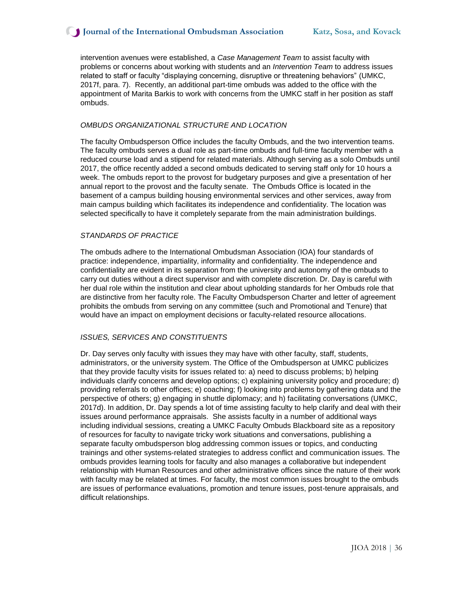intervention avenues were established, a *Case Management Team* to assist faculty with problems or concerns about working with students and an *Intervention Team* to address issues related to staff or faculty "displaying concerning, disruptive or threatening behaviors" (UMKC, 2017f, para. 7). Recently, an additional part-time ombuds was added to the office with the appointment of Marita Barkis to work with concerns from the UMKC staff in her position as staff ombuds.

#### *OMBUDS ORGANIZATIONAL STRUCTURE AND LOCATION*

The faculty Ombudsperson Office includes the faculty Ombuds, and the two intervention teams. The faculty ombuds serves a dual role as part-time ombuds and full-time faculty member with a reduced course load and a stipend for related materials. Although serving as a solo Ombuds until 2017, the office recently added a second ombuds dedicated to serving staff only for 10 hours a week. The ombuds report to the provost for budgetary purposes and give a presentation of her annual report to the provost and the faculty senate. The Ombuds Office is located in the basement of a campus building housing environmental services and other services, away from main campus building which facilitates its independence and confidentiality. The location was selected specifically to have it completely separate from the main administration buildings.

#### *STANDARDS OF PRACTICE*

The ombuds adhere to the International Ombudsman Association (IOA) four standards of practice: independence, impartiality, informality and confidentiality. The independence and confidentiality are evident in its separation from the university and autonomy of the ombuds to carry out duties without a direct supervisor and with complete discretion. Dr. Day is careful with her dual role within the institution and clear about upholding standards for her Ombuds role that are distinctive from her faculty role. The Faculty Ombudsperson Charter and letter of agreement prohibits the ombuds from serving on any committee (such and Promotional and Tenure) that would have an impact on employment decisions or faculty-related resource allocations.

#### *ISSUES, SERVICES AND CONSTITUENTS*

Dr. Day serves only faculty with issues they may have with other faculty, staff, students, administrators, or the university system. The Office of the Ombudsperson at UMKC publicizes that they provide faculty visits for issues related to: a) need to discuss problems; b) helping individuals clarify concerns and develop options; c) explaining university policy and procedure; d) providing referrals to other offices; e) coaching; f) looking into problems by gathering data and the perspective of others; g) engaging in shuttle diplomacy; and h) facilitating conversations (UMKC, 2017d). In addition, Dr. Day spends a lot of time assisting faculty to help clarify and deal with their issues around performance appraisals. She assists faculty in a number of additional ways including individual sessions, creating a UMKC Faculty Ombuds Blackboard site as a repository of resources for faculty to navigate tricky work situations and conversations, publishing a separate faculty ombudsperson blog addressing common issues or topics, and conducting trainings and other systems-related strategies to address conflict and communication issues. The ombuds provides learning tools for faculty and also manages a collaborative but independent relationship with Human Resources and other administrative offices since the nature of their work with faculty may be related at times. For faculty, the most common issues brought to the ombuds are issues of performance evaluations, promotion and tenure issues, post-tenure appraisals, and difficult relationships.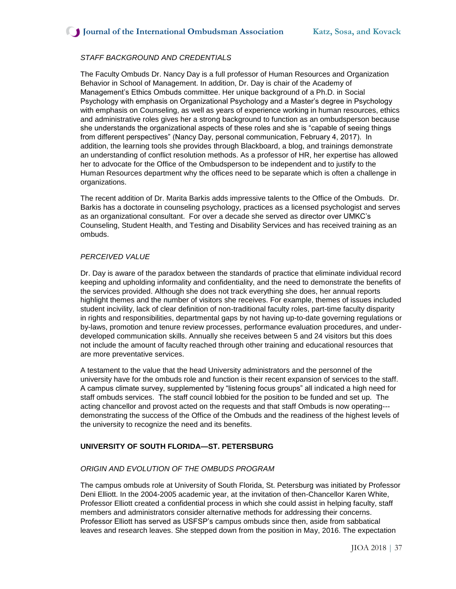## *STAFF BACKGROUND AND CREDENTIALS*

The Faculty Ombuds Dr. Nancy Day is a full professor of Human Resources and Organization Behavior in School of Management. In addition, Dr. Day is chair of the Academy of Management's Ethics Ombuds committee. Her unique background of a Ph.D. in Social Psychology with emphasis on Organizational Psychology and a Master's degree in Psychology with emphasis on Counseling, as well as years of experience working in human resources, ethics and administrative roles gives her a strong background to function as an ombudsperson because she understands the organizational aspects of these roles and she is "capable of seeing things from different perspectives" (Nancy Day, personal communication, February 4, 2017). In addition, the learning tools she provides through Blackboard, a blog, and trainings demonstrate an understanding of conflict resolution methods. As a professor of HR, her expertise has allowed her to advocate for the Office of the Ombudsperson to be independent and to justify to the Human Resources department why the offices need to be separate which is often a challenge in organizations.

The recent addition of Dr. Marita Barkis adds impressive talents to the Office of the Ombuds. Dr. Barkis has a doctorate in counseling psychology, practices as a licensed psychologist and serves as an organizational consultant. For over a decade she served as director over UMKC's Counseling, Student Health, and Testing and Disability Services and has received training as an ombuds.

#### *PERCEIVED VALUE*

Dr. Day is aware of the paradox between the standards of practice that eliminate individual record keeping and upholding informality and confidentiality, and the need to demonstrate the benefits of the services provided. Although she does not track everything she does, her annual reports highlight themes and the number of visitors she receives. For example, themes of issues included student incivility, lack of clear definition of non-traditional faculty roles, part-time faculty disparity in rights and responsibilities, departmental gaps by not having up-to-date governing regulations or by-laws, promotion and tenure review processes, performance evaluation procedures, and underdeveloped communication skills. Annually she receives between 5 and 24 visitors but this does not include the amount of faculty reached through other training and educational resources that are more preventative services.

A testament to the value that the head University administrators and the personnel of the university have for the ombuds role and function is their recent expansion of services to the staff. A campus climate survey, supplemented by "listening focus groups" all indicated a high need for staff ombuds services. The staff council lobbied for the position to be funded and set up. The acting chancellor and provost acted on the requests and that staff Ombuds is now operating-- demonstrating the success of the Office of the Ombuds and the readiness of the highest levels of the university to recognize the need and its benefits.

## **UNIVERSITY OF SOUTH FLORIDA—ST. PETERSBURG**

## *ORIGIN AND EVOLUTION OF THE OMBUDS PROGRAM*

The campus ombuds role at University of South Florida, St. Petersburg was initiated by Professor Deni Elliott. In the 2004-2005 academic year, at the invitation of then-Chancellor Karen White, Professor Elliott created a confidential process in which she could assist in helping faculty, staff members and administrators consider alternative methods for addressing their concerns. Professor Elliott has served as USFSP's campus ombuds since then, aside from sabbatical leaves and research leaves. She stepped down from the position in May, 2016. The expectation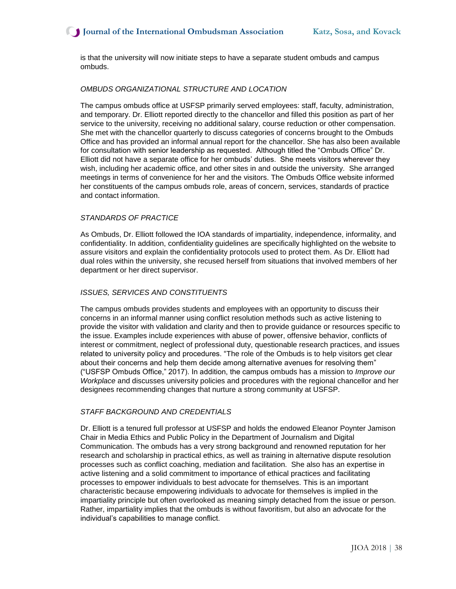is that the university will now initiate steps to have a separate student ombuds and campus ombuds.

#### *OMBUDS ORGANIZATIONAL STRUCTURE AND LOCATION*

The campus ombuds office at USFSP primarily served employees: staff, faculty, administration, and temporary. Dr. Elliott reported directly to the chancellor and filled this position as part of her service to the university, receiving no additional salary, course reduction or other compensation. She met with the chancellor quarterly to discuss categories of concerns brought to the Ombuds Office and has provided an informal annual report for the chancellor. She has also been available for consultation with senior leadership as requested. Although titled the "Ombuds Office" Dr. Elliott did not have a separate office for her ombuds' duties. She meets visitors wherever they wish, including her academic office, and other sites in and outside the university. She arranged meetings in terms of convenience for her and the visitors. The Ombuds Office website informed her constituents of the campus ombuds role, areas of concern, services, standards of practice and contact information.

#### *STANDARDS OF PRACTICE*

As Ombuds, Dr. Elliott followed the IOA standards of impartiality, independence, informality, and confidentiality. In addition, confidentiality guidelines are specifically highlighted on the website to assure visitors and explain the confidentiality protocols used to protect them. As Dr. Elliott had dual roles within the university, she recused herself from situations that involved members of her department or her direct supervisor.

## *ISSUES, SERVICES AND CONSTITUENTS*

The campus ombuds provides students and employees with an opportunity to discuss their concerns in an informal manner using conflict resolution methods such as active listening to provide the visitor with validation and clarity and then to provide guidance or resources specific to the issue. Examples include experiences with abuse of power, offensive behavior, conflicts of interest or commitment, neglect of professional duty, questionable research practices, and issues related to university policy and procedures. "The role of the Ombuds is to help visitors get clear about their concerns and help them decide among alternative avenues for resolving them" ("USFSP Ombuds Office," 2017). In addition, the campus ombuds has a mission to *Improve our Workplace* and discusses university policies and procedures with the regional chancellor and her designees recommending changes that nurture a strong community at USFSP.

#### *STAFF BACKGROUND AND CREDENTIALS*

Dr. Elliott is a tenured full professor at USFSP and holds the endowed Eleanor Poynter Jamison Chair in Media Ethics and Public Policy in the Department of Journalism and Digital Communication. The ombuds has a very strong background and renowned reputation for her research and scholarship in practical ethics, as well as training in alternative dispute resolution processes such as conflict coaching, mediation and facilitation. She also has an expertise in active listening and a solid commitment to importance of ethical practices and facilitating processes to empower individuals to best advocate for themselves. This is an important characteristic because empowering individuals to advocate for themselves is implied in the impartiality principle but often overlooked as meaning simply detached from the issue or person. Rather, impartiality implies that the ombuds is without favoritism, but also an advocate for the individual's capabilities to manage conflict.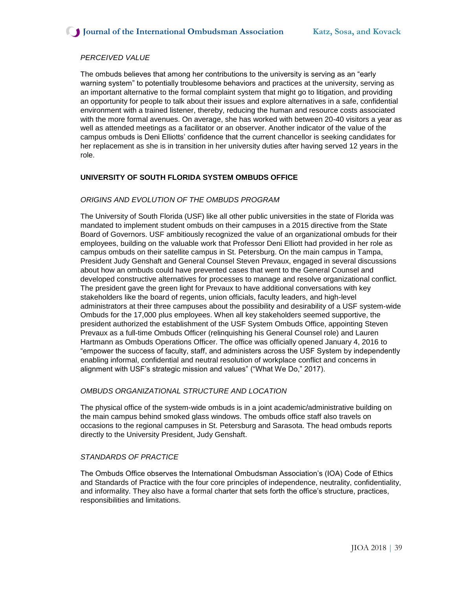## *PERCEIVED VALUE*

The ombuds believes that among her contributions to the university is serving as an "early warning system" to potentially troublesome behaviors and practices at the university, serving as an important alternative to the formal complaint system that might go to litigation, and providing an opportunity for people to talk about their issues and explore alternatives in a safe, confidential environment with a trained listener, thereby, reducing the human and resource costs associated with the more formal avenues. On average, she has worked with between 20-40 visitors a year as well as attended meetings as a facilitator or an observer. Another indicator of the value of the campus ombuds is Deni Elliotts' confidence that the current chancellor is seeking candidates for her replacement as she is in transition in her university duties after having served 12 years in the role.

## **UNIVERSITY OF SOUTH FLORIDA SYSTEM OMBUDS OFFICE**

#### *ORIGINS AND EVOLUTION OF THE OMBUDS PROGRAM*

The University of South Florida (USF) like all other public universities in the state of Florida was mandated to implement student ombuds on their campuses in a 2015 directive from the State Board of Governors. USF ambitiously recognized the value of an organizational ombuds for their employees, building on the valuable work that Professor Deni Elliott had provided in her role as campus ombuds on their satellite campus in St. Petersburg. On the main campus in Tampa, President Judy Genshaft and General Counsel Steven Prevaux, engaged in several discussions about how an ombuds could have prevented cases that went to the General Counsel and developed constructive alternatives for processes to manage and resolve organizational conflict. The president gave the green light for Prevaux to have additional conversations with key stakeholders like the board of regents, union officials, faculty leaders, and high-level administrators at their three campuses about the possibility and desirability of a USF system-wide Ombuds for the 17,000 plus employees. When all key stakeholders seemed supportive, the president authorized the establishment of the USF System Ombuds Office, appointing Steven Prevaux as a full-time Ombuds Officer (relinquishing his General Counsel role) and Lauren Hartmann as Ombuds Operations Officer. The office was officially opened January 4, 2016 to "empower the success of faculty, staff, and administers across the USF System by independently enabling informal, confidential and neutral resolution of workplace conflict and concerns in alignment with USF's strategic mission and values" ("What We Do," 2017).

## *OMBUDS ORGANIZATIONAL STRUCTURE AND LOCATION*

The physical office of the system-wide ombuds is in a joint academic/administrative building on the main campus behind smoked glass windows. The ombuds office staff also travels on occasions to the regional campuses in St. Petersburg and Sarasota. The head ombuds reports directly to the University President, Judy Genshaft.

#### *STANDARDS OF PRACTICE*

The Ombuds Office observes the International Ombudsman Association's (IOA) Code of Ethics and Standards of Practice with the four core principles of independence, neutrality, confidentiality, and informality. They also have a formal charter that sets forth the office's structure, practices, responsibilities and limitations.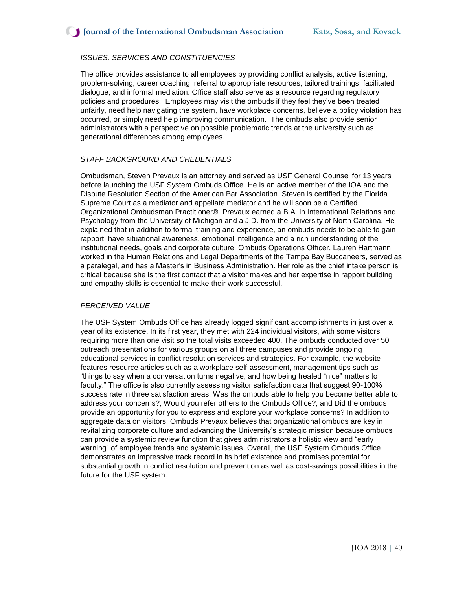## *ISSUES, SERVICES AND CONSTITUENCIES*

The office provides assistance to all employees by providing conflict analysis, active listening, problem-solving, career coaching, referral to appropriate resources, tailored trainings, facilitated dialogue, and informal mediation. Office staff also serve as a resource regarding regulatory policies and procedures. Employees may visit the ombuds if they feel they've been treated unfairly, need help navigating the system, have workplace concerns, believe a policy violation has occurred, or simply need help improving communication. The ombuds also provide senior administrators with a perspective on possible problematic trends at the university such as generational differences among employees.

#### *STAFF BACKGROUND AND CREDENTIALS*

Ombudsman, Steven Prevaux is an attorney and served as USF General Counsel for 13 years before launching the USF System Ombuds Office. He is an active member of the IOA and the Dispute Resolution Section of the American Bar Association. Steven is certified by the Florida Supreme Court as a mediator and appellate mediator and he will soon be a Certified Organizational Ombudsman Practitioner®. Prevaux earned a B.A. in International Relations and Psychology from the University of Michigan and a J.D. from the University of North Carolina. He explained that in addition to formal training and experience, an ombuds needs to be able to gain rapport, have situational awareness, emotional intelligence and a rich understanding of the institutional needs, goals and corporate culture. Ombuds Operations Officer, Lauren Hartmann worked in the Human Relations and Legal Departments of the Tampa Bay Buccaneers, served as a paralegal, and has a Master's in Business Administration. Her role as the chief intake person is critical because she is the first contact that a visitor makes and her expertise in rapport building and empathy skills is essential to make their work successful.

#### *PERCEIVED VALUE*

The USF System Ombuds Office has already logged significant accomplishments in just over a year of its existence. In its first year, they met with 224 individual visitors, with some visitors requiring more than one visit so the total visits exceeded 400. The ombuds conducted over 50 outreach presentations for various groups on all three campuses and provide ongoing educational services in conflict resolution services and strategies. For example, the website features resource articles such as a workplace self-assessment, management tips such as "things to say when a conversation turns negative, and how being treated "nice" matters to faculty." The office is also currently assessing visitor satisfaction data that suggest 90-100% success rate in three satisfaction areas: Was the ombuds able to help you become better able to address your concerns?; Would you refer others to the Ombuds Office?; and Did the ombuds provide an opportunity for you to express and explore your workplace concerns? In addition to aggregate data on visitors, Ombuds Prevaux believes that organizational ombuds are key in revitalizing corporate culture and advancing the University's strategic mission because ombuds can provide a systemic review function that gives administrators a holistic view and "early warning" of employee trends and systemic issues. Overall, the USF System Ombuds Office demonstrates an impressive track record in its brief existence and promises potential for substantial growth in conflict resolution and prevention as well as cost-savings possibilities in the future for the USF system.